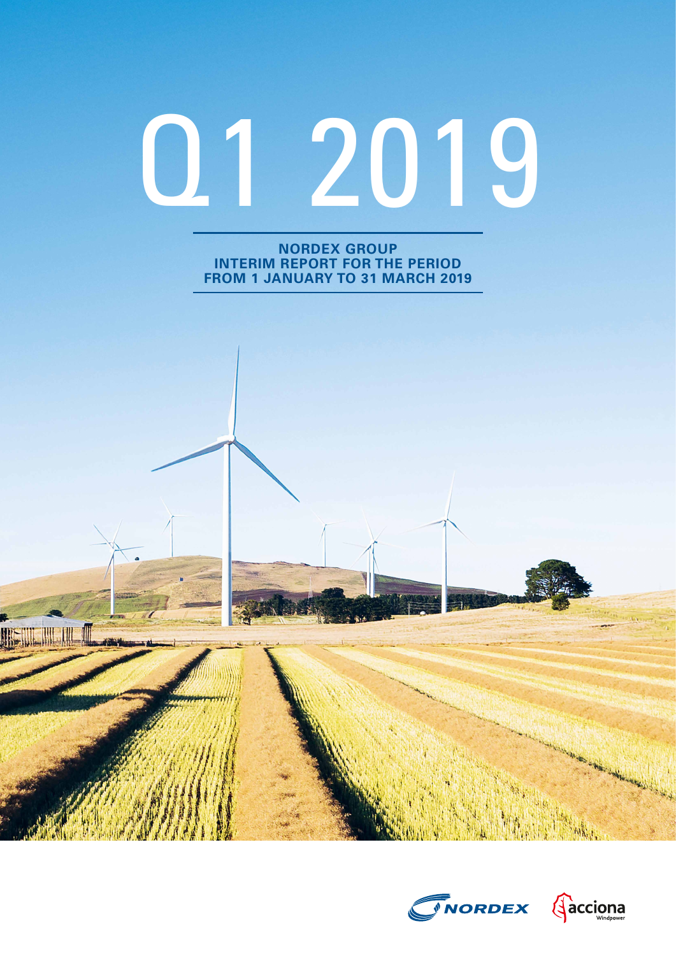# Q1 2019

**NORDEX GROUP INTERIM REPORT FOR THE PERIOD FROM 1 JANUARY TO 31 MARCH 2019**

**US IN THE OF** 



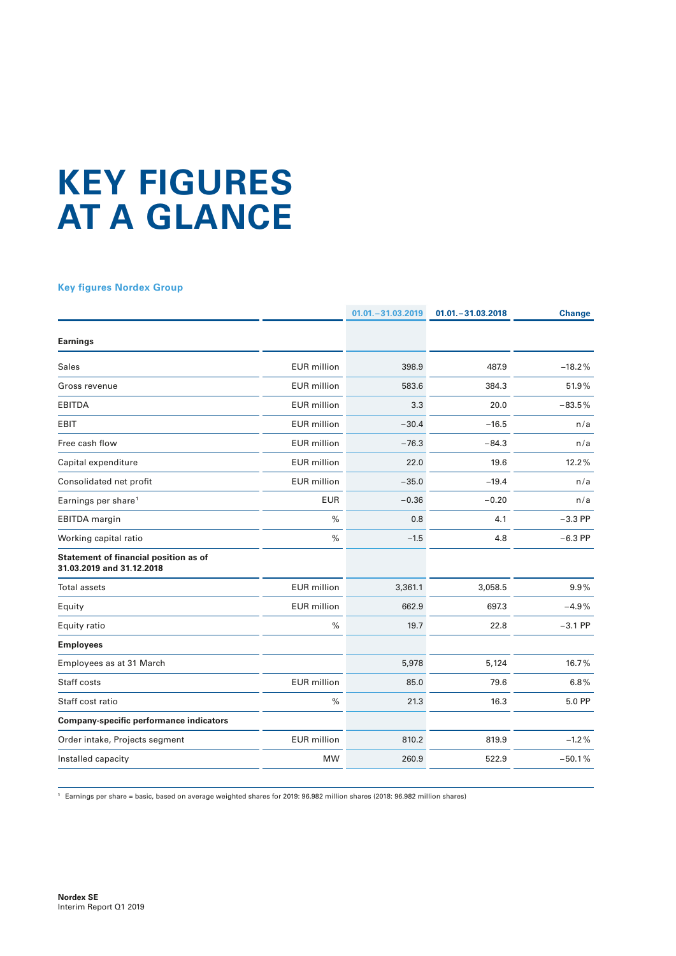# **KEY FIGURES AT A GLANCE**

#### **Key figures Nordex Group**

|                                                                    |                    | $01.01 - 31.03.2019$ | $01.01 - 31.03.2018$ | <b>Change</b> |
|--------------------------------------------------------------------|--------------------|----------------------|----------------------|---------------|
| <b>Earnings</b>                                                    |                    |                      |                      |               |
| Sales                                                              | <b>EUR</b> million | 398.9                | 487.9                | $-18.2%$      |
| Gross revenue                                                      | <b>EUR</b> million | 583.6                | 384.3                | 51.9%         |
| <b>EBITDA</b>                                                      | <b>EUR</b> million | 3.3                  | 20.0                 | $-83.5%$      |
| <b>EBIT</b>                                                        | <b>EUR</b> million | $-30.4$              | $-16.5$              | n/a           |
| Free cash flow                                                     | <b>EUR</b> million | $-76.3$              | $-84.3$              | n/a           |
| Capital expenditure                                                | <b>EUR</b> million | 22.0                 | 19.6                 | 12.2%         |
| Consolidated net profit                                            | <b>EUR</b> million | $-35.0$              | $-19.4$              | n/a           |
| Earnings per share <sup>1</sup>                                    | <b>EUR</b>         | $-0.36$              | $-0.20$              | n/a           |
| <b>EBITDA</b> margin                                               | $\frac{0}{0}$      | 0.8                  | 4.1                  | $-3.3$ PP     |
| Working capital ratio                                              | $\%$               | $-1.5$               | 4.8                  | $-6.3$ PP     |
| Statement of financial position as of<br>31.03.2019 and 31.12.2018 |                    |                      |                      |               |
| <b>Total assets</b>                                                | <b>EUR</b> million | 3,361.1              | 3,058.5              | 9.9%          |
| Equity                                                             | <b>EUR</b> million | 662.9                | 697.3                | $-4.9%$       |
| Equity ratio                                                       | $\%$               | 19.7                 | 22.8                 | $-3.1$ PP     |
| <b>Employees</b>                                                   |                    |                      |                      |               |
| Employees as at 31 March                                           |                    | 5,978                | 5,124                | 16.7%         |
| Staff costs                                                        | <b>EUR</b> million | 85.0                 | 79.6                 | 6.8%          |
| Staff cost ratio                                                   | $\%$               | 21.3                 | 16.3                 | 5.0 PP        |
| <b>Company-specific performance indicators</b>                     |                    |                      |                      |               |
| Order intake, Projects segment                                     | <b>EUR</b> million | 810.2                | 819.9                | $-1.2%$       |
| Installed capacity                                                 | <b>MW</b>          | 260.9                | 522.9                | $-50.1%$      |

**<sup>1</sup>** Earnings per share = basic, based on average weighted shares for 2019: 96.982 million shares (2018: 96.982 million shares)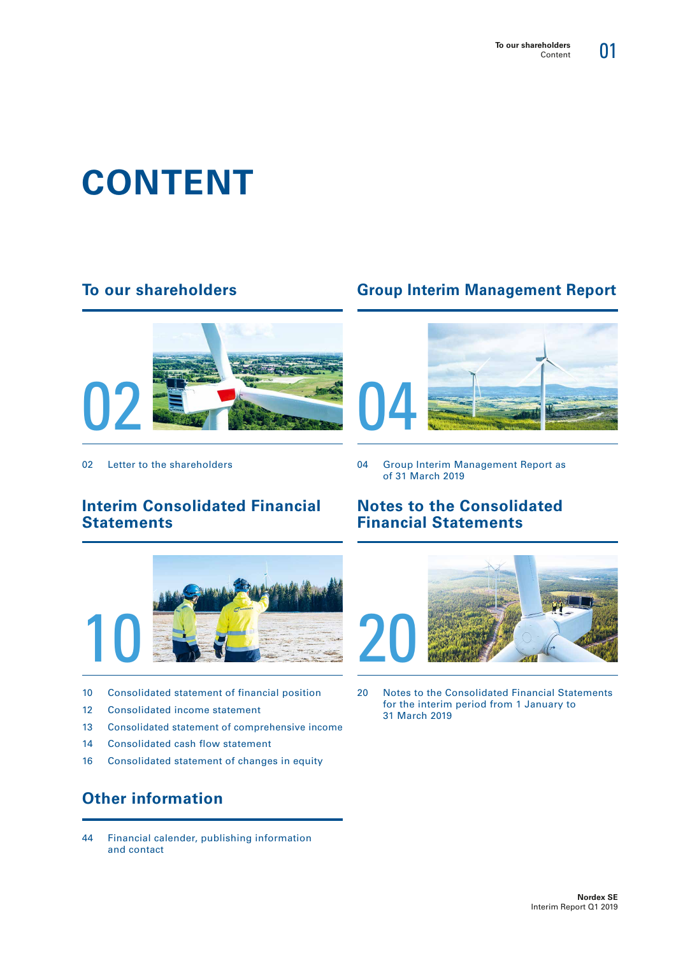01

# **CONTENT**

## **To our shareholders**



02 Letter to the shareholders

## **Interim Consolidated Financial Statements**



- 10 Consolidated statement of financial position
- 12 Consolidated income statement
- 13 Consolidated statement of comprehensive income
- 14 Consolidated cash flow statement
- 16 Consolidated statement of changes in equity

# **Other information**

44 Financial calender, publishing information and contact

# **Group Interim Management Report**



04 Group Interim Management Report as of 31 March 2019

## **Notes to the Consolidated Financial Statements**



20 Notes to the Consolidated Financial Statements for the interim period from 1 January to 31 March 2019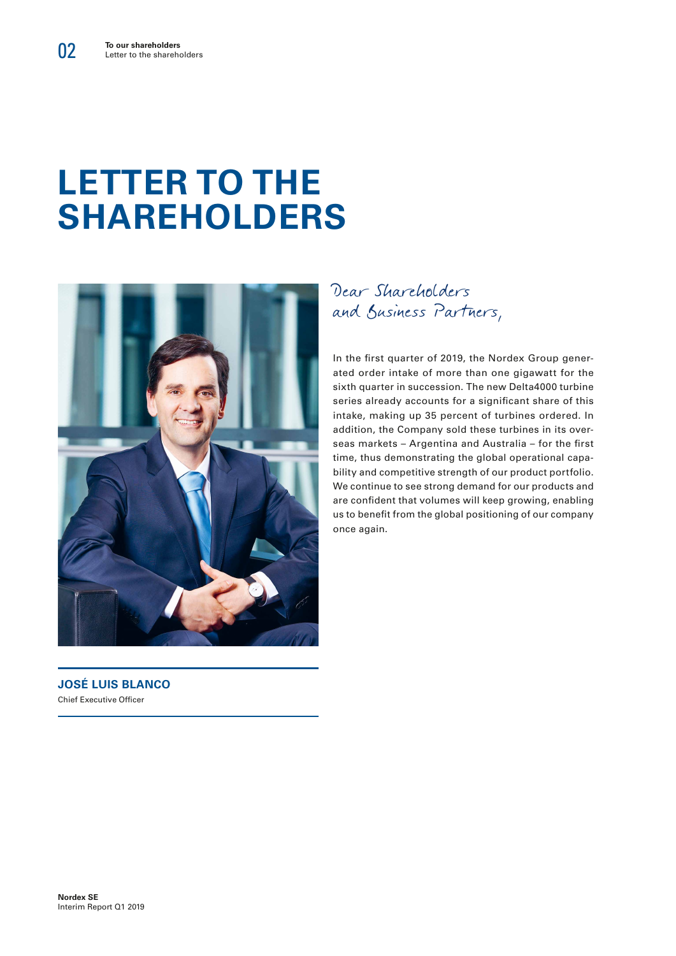# **LETTER TO THE SHAREHOLDERS**



Dear Shareholders and Business Partners,

In the first quarter of 2019, the Nordex Group generated order intake of more than one gigawatt for the sixth quarter in succession. The new Delta4000 turbine series already accounts for a significant share of this intake, making up 35 percent of turbines ordered. In addition, the Company sold these turbines in its overseas markets – Argentina and Australia – for the first time, thus demonstrating the global operational capability and competitive strength of our product portfolio. We continue to see strong demand for our products and are confident that volumes will keep growing, enabling us to benefit from the global positioning of our company once again.

**JOSÉ LUIS BLANCO** Chief Executive Officer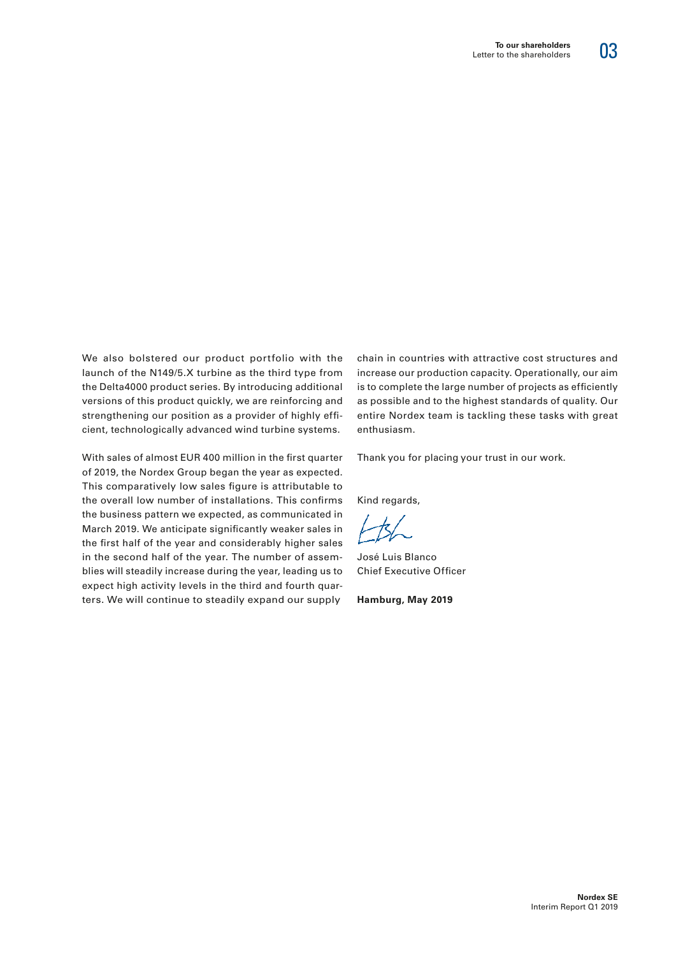# 03

We also bolstered our product portfolio with the launch of the N149/5.X turbine as the third type from the Delta4000 product series. By introducing additional versions of this product quickly, we are reinforcing and strengthening our position as a provider of highly efficient, technologically advanced wind turbine systems.

With sales of almost EUR 400 million in the first quarter of 2019, the Nordex Group began the year as expected. This comparatively low sales figure is attributable to the overall low number of installations. This confirms the business pattern we expected, as communicated in March 2019. We anticipate significantly weaker sales in the first half of the year and considerably higher sales in the second half of the year. The number of assemblies will steadily increase during the year, leading us to expect high activity levels in the third and fourth quarters. We will continue to steadily expand our supply

chain in countries with attractive cost structures and increase our production capacity. Operationally, our aim is to complete the large number of projects as efficiently as possible and to the highest standards of quality. Our entire Nordex team is tackling these tasks with great enthusiasm.

Thank you for placing your trust in our work.

Kind regards,

José Luis Blanco Chief Executive Officer

**Hamburg, May 2019**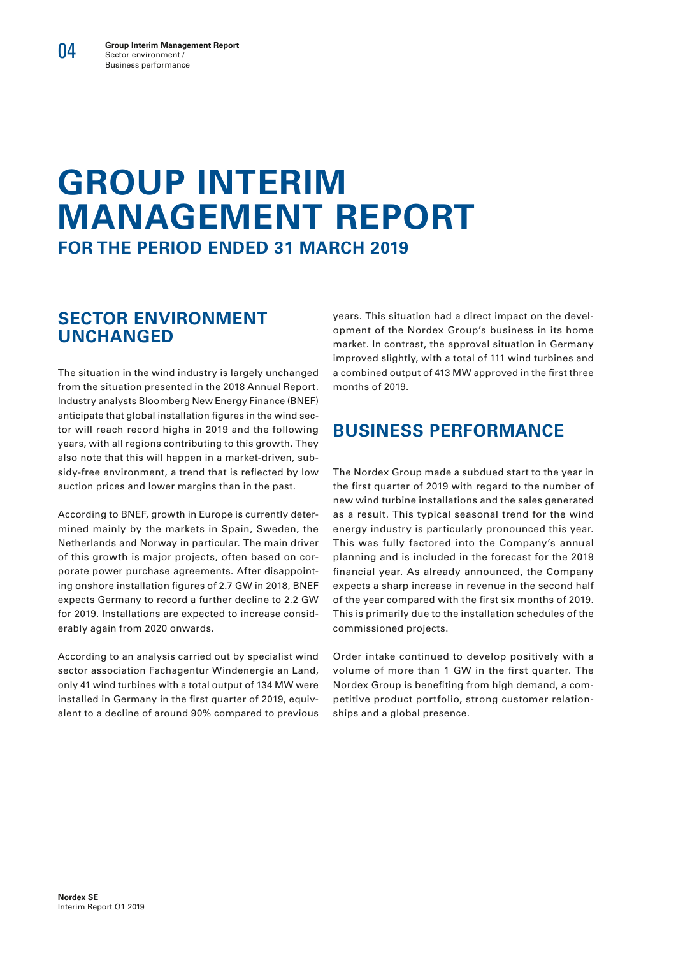04

# **GROUP INTERIM MANAGEMENT REPORT FOR THE PERIOD ENDED 31 MARCH 2019**

# **SECTOR ENVIRONMENT UNCHANGED**

The situation in the wind industry is largely unchanged from the situation presented in the 2018 Annual Report. Industry analysts Bloomberg New Energy Finance (BNEF) anticipate that global installation figures in the wind sector will reach record highs in 2019 and the following years, with all regions contributing to this growth. They also note that this will happen in a market-driven, subsidy-free environment, a trend that is reflected by low auction prices and lower margins than in the past.

According to BNEF, growth in Europe is currently determined mainly by the markets in Spain, Sweden, the Netherlands and Norway in particular. The main driver of this growth is major projects, often based on corporate power purchase agreements. After disappointing onshore installation figures of 2.7 GW in 2018, BNEF expects Germany to record a further decline to 2.2 GW for 2019. Installations are expected to increase considerably again from 2020 onwards.

According to an analysis carried out by specialist wind sector association Fachagentur Windenergie an Land, only 41 wind turbines with a total output of 134 MW were installed in Germany in the first quarter of 2019, equivalent to a decline of around 90% compared to previous years. This situation had a direct impact on the development of the Nordex Group's business in its home market. In contrast, the approval situation in Germany improved slightly, with a total of 111 wind turbines and a combined output of 413 MW approved in the first three months of 2019.

# **BUSINESS PERFORMANCE**

The Nordex Group made a subdued start to the year in the first quarter of 2019 with regard to the number of new wind turbine installations and the sales generated as a result. This typical seasonal trend for the wind energy industry is particularly pronounced this year. This was fully factored into the Company's annual planning and is included in the forecast for the 2019 financial year. As already announced, the Company expects a sharp increase in revenue in the second half of the year compared with the first six months of 2019. This is primarily due to the installation schedules of the commissioned projects.

Order intake continued to develop positively with a volume of more than 1 GW in the first quarter. The Nordex Group is benefiting from high demand, a competitive product portfolio, strong customer relationships and a global presence.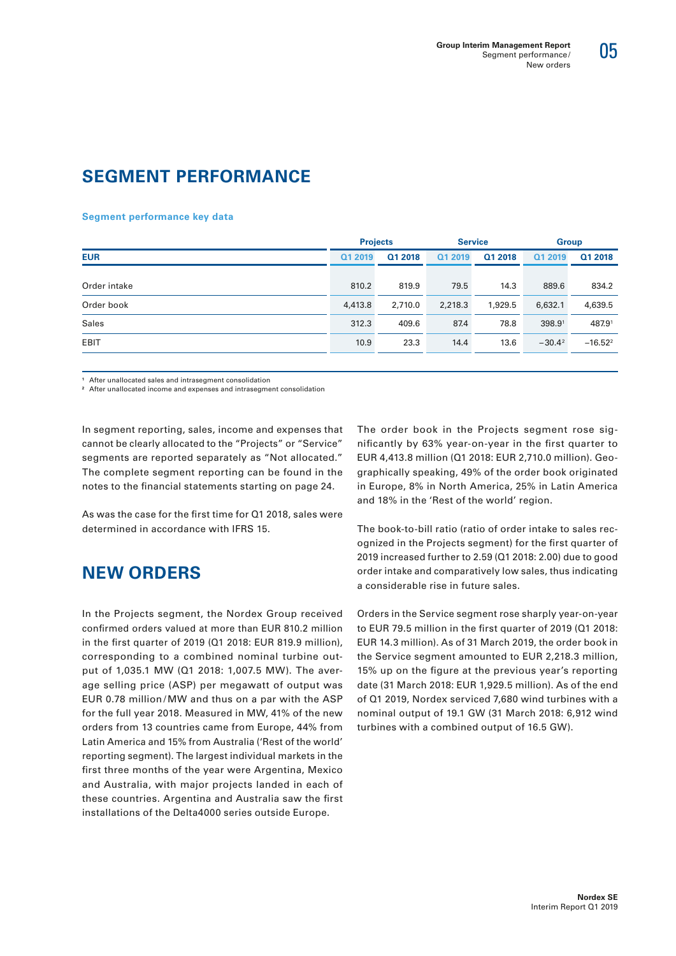

# **SEGMENT PERFORMANCE**

#### **Segment performance key data**

|              |         | <b>Projects</b> |         | <b>Service</b> | <b>Group</b> |            |
|--------------|---------|-----------------|---------|----------------|--------------|------------|
| <b>EUR</b>   | Q1 2019 | Q1 2018         | Q1 2019 | Q1 2018        | Q1 2019      | Q1 2018    |
|              |         |                 |         |                |              |            |
| Order intake | 810.2   | 819.9           | 79.5    | 14.3           | 889.6        | 834.2      |
| Order book   | 4,413.8 | 2,710.0         | 2,218.3 | 1,929.5        | 6,632.1      | 4,639.5    |
| <b>Sales</b> | 312.3   | 409.6           | 87.4    | 78.8           | 398.91       | 487.91     |
| <b>EBIT</b>  | 10.9    | 23.3            | 14.4    | 13.6           | $-30.4^2$    | $-16.52^2$ |
|              |         |                 |         |                |              |            |

**<sup>1</sup>** After unallocated sales and intrasegment consolidation

**<sup>2</sup>** After unallocated income and expenses and intrasegment consolidation

In segment reporting, sales, income and expenses that cannot be clearly allocated to the "Projects" or "Service" segments are reported separately as "Not allocated." The complete segment reporting can be found in the notes to the financial statements starting on page 24.

As was the case for the first time for Q1 2018, sales were determined in accordance with IFRS 15.

# **NEW ORDERS**

In the Projects segment, the Nordex Group received confirmed orders valued at more than EUR 810.2 million in the first quarter of 2019 (Q1 2018: EUR 819.9 million), corresponding to a combined nominal turbine output of 1,035.1 MW (Q1 2018: 1,007.5 MW). The average selling price (ASP) per megawatt of output was EUR 0.78 million /MW and thus on a par with the ASP for the full year 2018. Measured in MW, 41% of the new orders from 13 countries came from Europe, 44% from Latin America and 15% from Australia ('Rest of the world' reporting segment). The largest individual markets in the first three months of the year were Argentina, Mexico and Australia, with major projects landed in each of these countries. Argentina and Australia saw the first installations of the Delta4000 series outside Europe.

The order book in the Projects segment rose significantly by 63% year-on-year in the first quarter to EUR 4,413.8 million (Q1 2018: EUR 2,710.0 million). Geographically speaking, 49% of the order book originated in Europe, 8% in North America, 25% in Latin America and 18% in the 'Rest of the world' region.

The book-to-bill ratio (ratio of order intake to sales recognized in the Projects segment) for the first quarter of 2019 increased further to 2.59 (Q1 2018: 2.00) due to good order intake and comparatively low sales, thus indicating a considerable rise in future sales.

Orders in the Service segment rose sharply year-on-year to EUR 79.5 million in the first quarter of 2019 (Q1 2018: EUR 14.3 million). As of 31 March 2019, the order book in the Service segment amounted to EUR 2,218.3 million, 15% up on the figure at the previous year's reporting date (31 March 2018: EUR 1,929.5 million). As of the end of Q1 2019, Nordex serviced 7,680 wind turbines with a nominal output of 19.1 GW (31 March 2018: 6,912 wind turbines with a combined output of 16.5 GW).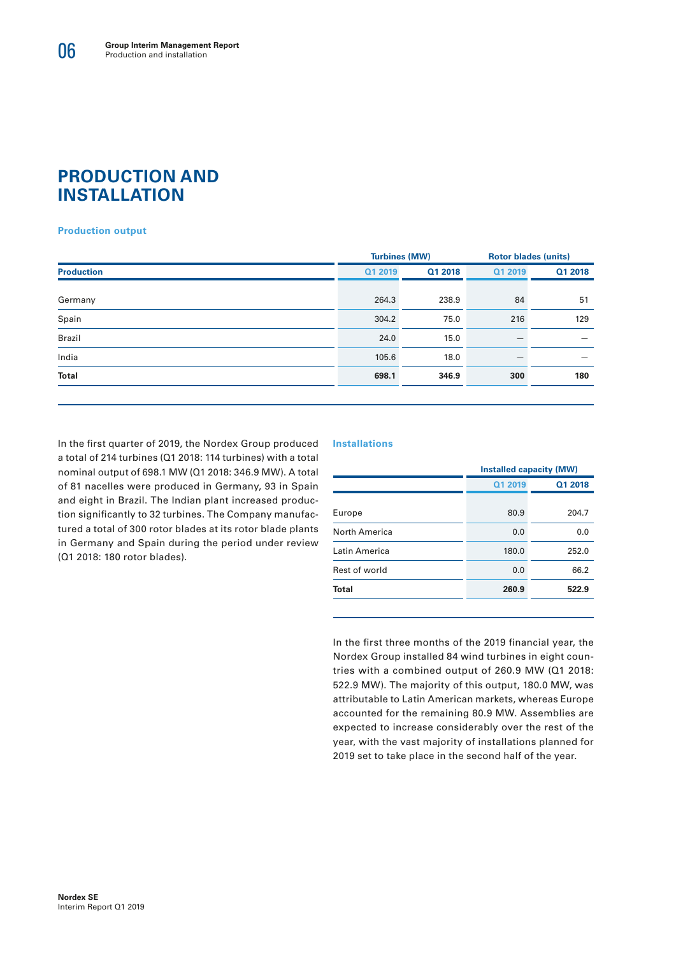## **PRODUCTION AND INSTALLATION**

#### **Production output**

|                   |         | <b>Turbines (MW)</b> |         | <b>Rotor blades (units)</b> |
|-------------------|---------|----------------------|---------|-----------------------------|
| <b>Production</b> | Q1 2019 | Q1 2018              | Q1 2019 | Q1 2018                     |
|                   |         |                      |         |                             |
| Germany           | 264.3   | 238.9                | 84      | 51                          |
| Spain             | 304.2   | 75.0                 | 216     | 129                         |
| Brazil            | 24.0    | 15.0                 |         |                             |
| India             | 105.6   | 18.0                 |         |                             |
| <b>Total</b>      | 698.1   | 346.9                | 300     | 180                         |
|                   |         |                      |         |                             |

In the first quarter of 2019, the Nordex Group produced a total of 214 turbines (Q1 2018: 114 turbines) with a total nominal output of 698.1 MW (Q1 2018: 346.9 MW). A total of 81 nacelles were produced in Germany, 93 in Spain and eight in Brazil. The Indian plant increased production significantly to 32 turbines. The Company manufactured a total of 300 rotor blades at its rotor blade plants in Germany and Spain during the period under review (Q1 2018: 180 rotor blades).

#### **Installations**

|               |         | <b>Installed capacity (MW)</b> |  |  |
|---------------|---------|--------------------------------|--|--|
|               | Q1 2019 | Q1 2018                        |  |  |
| Europe        | 80.9    | 204.7                          |  |  |
| North America | 0.0     | 0.0                            |  |  |
| Latin America | 180.0   | 252.0                          |  |  |
| Rest of world | 0.0     | 66.2                           |  |  |
| Total         | 260.9   | 522.9                          |  |  |
|               |         |                                |  |  |

In the first three months of the 2019 financial year, the Nordex Group installed 84 wind turbines in eight countries with a combined output of 260.9 MW (Q1 2018: 522.9 MW). The majority of this output, 180.0 MW, was attributable to Latin American markets, whereas Europe accounted for the remaining 80.9 MW. Assemblies are expected to increase considerably over the rest of the year, with the vast majority of installations planned for 2019 set to take place in the second half of the year.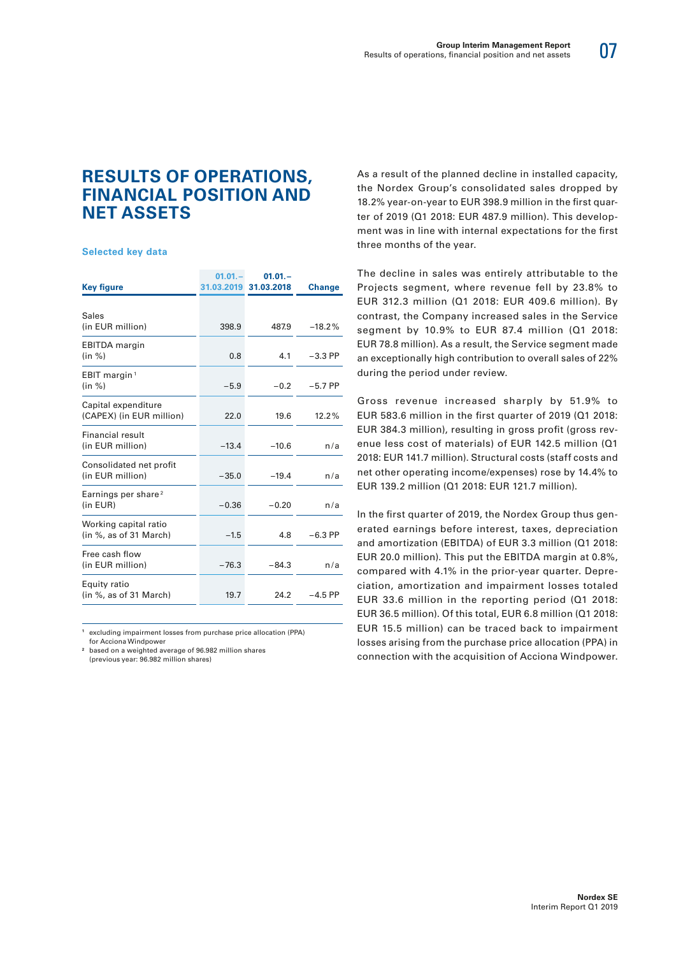# 07

## **RESULTS OF OPERATIONS, FINANCIAL POSITION AND NET ASSETS**

#### **Selected key data**

|                                                 | $01.01 -$ | $01.01 -$             |               |
|-------------------------------------------------|-----------|-----------------------|---------------|
| <b>Key figure</b>                               |           | 31.03.2019 31.03.2018 | <b>Change</b> |
| Sales<br>(in EUR million)                       | 398.9     | 487.9                 | $-18.2%$      |
| <b>EBITDA</b> margin<br>(in %)                  | 0.8       | 4.1                   | $-3.3$ PP     |
| EBIT margin <sup>1</sup><br>(in %)              | $-5.9$    | $-0.2$                | $-5.7$ PP     |
| Capital expenditure<br>(CAPEX) (in EUR million) | 22.0      | 19.6                  | 12.2%         |
| Financial result<br>(in EUR million)            | $-13.4$   | $-10.6$               | n/a           |
| Consolidated net profit<br>(in EUR million)     | $-35.0$   | $-19.4$               | n/a           |
| Earnings per share <sup>2</sup><br>(in EUR)     | $-0.36$   | $-0.20$               | n/a           |
| Working capital ratio<br>(in %, as of 31 March) | $-1.5$    | 4.8                   | $-6.3$ PP     |
| Free cash flow<br>(in EUR million)              | $-76.3$   | $-84.3$               | n/a           |
| Equity ratio<br>(in %, as of 31 March)          | 19.7      | 24.2                  | $-4.5$ PP     |

**1** excluding impairment losses from purchase price allocation (PPA) for Acciona Windpower

**2** based on a weighted average of 96.982 million shares (previous year: 96.982 million shares)

As a result of the planned decline in installed capacity, the Nordex Group's consolidated sales dropped by 18.2% year-on-year to EUR 398.9 million in the first quarter of 2019 (Q1 2018: EUR 487.9 million). This development was in line with internal expectations for the first three months of the year.

The decline in sales was entirely attributable to the Projects segment, where revenue fell by 23.8% to EUR 312.3 million (Q1 2018: EUR 409.6 million). By contrast, the Company increased sales in the Service segment by 10.9% to EUR 87.4 million (Q1 2018: EUR 78.8 million). As a result, the Service segment made an exceptionally high contribution to overall sales of 22% during the period under review.

Gross revenue increased sharply by 51.9% to EUR 583.6 million in the first quarter of 2019 (Q1 2018: EUR 384.3 million), resulting in gross profit (gross revenue less cost of materials) of EUR 142.5 million (Q1 2018: EUR 141.7 million). Structural costs (staff costs and net other operating income/expenses) rose by 14.4% to EUR 139.2 million (Q1 2018: EUR 121.7 million).

In the first quarter of 2019, the Nordex Group thus generated earnings before interest, taxes, depreciation and amortization (EBITDA) of EUR 3.3 million (Q1 2018: EUR 20.0 million). This put the EBITDA margin at 0.8%, compared with 4.1% in the prior-year quarter. Depreciation, amortization and impairment losses totaled EUR 33.6 million in the reporting period (Q1 2018: EUR 36.5 million). Of this total, EUR 6.8 million (Q1 2018: EUR 15.5 million) can be traced back to impairment losses arising from the purchase price allocation (PPA) in connection with the acquisition of Acciona Windpower.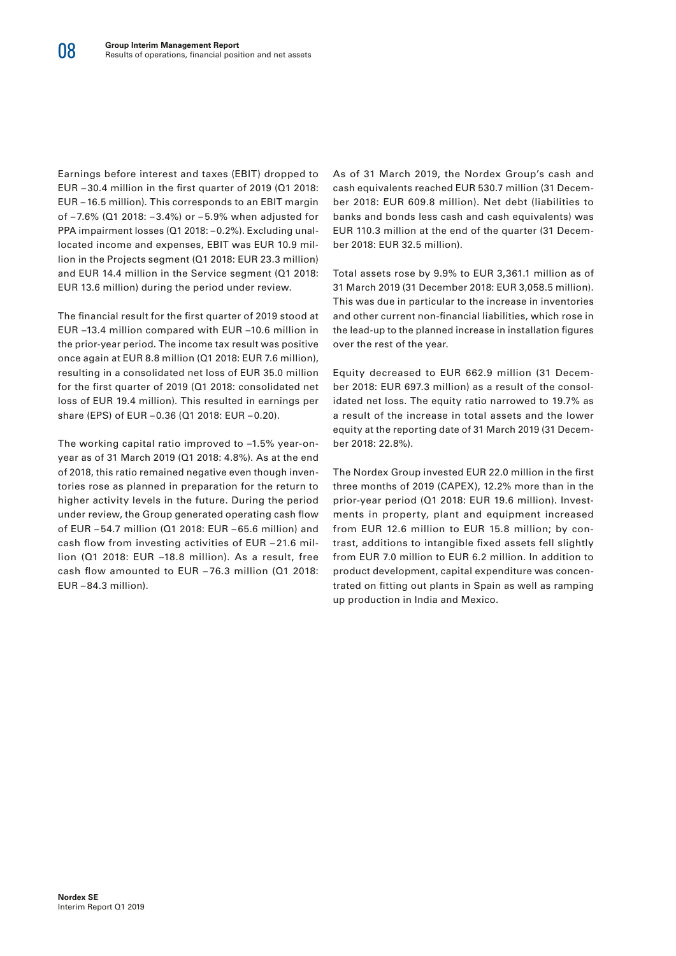Earnings before interest and taxes (EBIT) dropped to EUR – 30.4 million in the first quarter of 2019 (Q1 2018: EUR – 16.5 million). This corresponds to an EBIT margin of – 7.6% (Q1 2018: – 3.4%) or – 5.9% when adjusted for PPA impairment losses (Q1 2018: –0.2%). Excluding unallocated income and expenses, EBIT was EUR 10.9 million in the Projects segment (Q1 2018: EUR 23.3 million) and EUR 14.4 million in the Service segment (Q1 2018: EUR 13.6 million) during the period under review.

The financial result for the first quarter of 2019 stood at EUR –13.4 million compared with EUR –10.6 million in the prior-year period. The income tax result was positive once again at EUR 8.8 million (Q1 2018: EUR 7.6 million), resulting in a consolidated net loss of EUR 35.0 million for the first quarter of 2019 (Q1 2018: consolidated net loss of EUR 19.4 million). This resulted in earnings per share (EPS) of EUR – 0.36 (Q1 2018: EUR – 0.20).

The working capital ratio improved to –1.5% year-onyear as of 31 March 2019 (Q1 2018: 4.8%). As at the end of 2018, this ratio remained negative even though inventories rose as planned in preparation for the return to higher activity levels in the future. During the period under review, the Group generated operating cash flow of EUR – 54.7 million (Q1 2018: EUR – 65.6 million) and cash flow from investing activities of EUR – 21.6 million (Q1 2018: EUR –18.8 million). As a result, free cash flow amounted to EUR – 76.3 million (Q1 2018: EUR – 84.3 million).

As of 31 March 2019, the Nordex Group's cash and cash equivalents reached EUR 530.7 million (31 December 2018: EUR 609.8 million). Net debt (liabilities to banks and bonds less cash and cash equivalents) was EUR 110.3 million at the end of the quarter (31 December 2018: EUR 32.5 million).

Total assets rose by 9.9% to EUR 3,361.1 million as of 31 March 2019 (31 December 2018: EUR 3,058.5 million). This was due in particular to the increase in inventories and other current non-financial liabilities, which rose in the lead-up to the planned increase in installation figures over the rest of the year.

Equity decreased to EUR 662.9 million (31 December 2018: EUR 697.3 million) as a result of the consolidated net loss. The equity ratio narrowed to 19.7% as a result of the increase in total assets and the lower equity at the reporting date of 31 March 2019 (31 December 2018: 22.8%).

The Nordex Group invested EUR 22.0 million in the first three months of 2019 (CAPEX), 12.2% more than in the prior-year period (Q1 2018: EUR 19.6 million). Investments in property, plant and equipment increased from EUR 12.6 million to EUR 15.8 million; by contrast, additions to intangible fixed assets fell slightly from EUR 7.0 million to EUR 6.2 million. In addition to product development, capital expenditure was concentrated on fitting out plants in Spain as well as ramping up production in India and Mexico.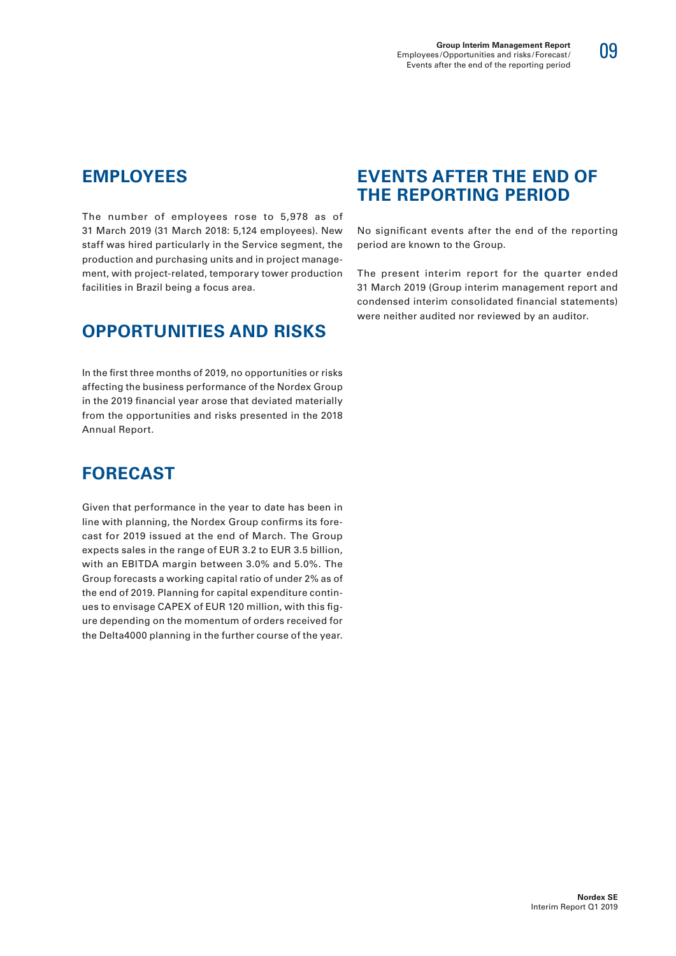The number of employees rose to 5,978 as of 31 March 2019 (31 March 2018: 5,124 employees). New staff was hired particularly in the Service segment, the production and purchasing units and in project management, with project-related, temporary tower production facilities in Brazil being a focus area.

# **OPPORTUNITIES AND RISKS**

In the first three months of 2019, no opportunities or risks affecting the business performance of the Nordex Group in the 2019 financial year arose that deviated materially from the opportunities and risks presented in the 2018 Annual Report.

# **FORECAST**

Given that performance in the year to date has been in line with planning, the Nordex Group confirms its forecast for 2019 issued at the end of March. The Group expects sales in the range of EUR 3.2 to EUR 3.5 billion, with an EBITDA margin between 3.0% and 5.0%. The Group forecasts a working capital ratio of under 2% as of the end of 2019. Planning for capital expenditure continues to envisage CAPEX of EUR 120 million, with this figure depending on the momentum of orders received for the Delta4000 planning in the further course of the year.

## **EVENTS AFTER THE END OF THE REPORTING PERIOD**

No significant events after the end of the reporting period are known to the Group.

The present interim report for the quarter ended 31 March 2019 (Group interim management report and condensed interim consolidated financial statements) were neither audited nor reviewed by an auditor.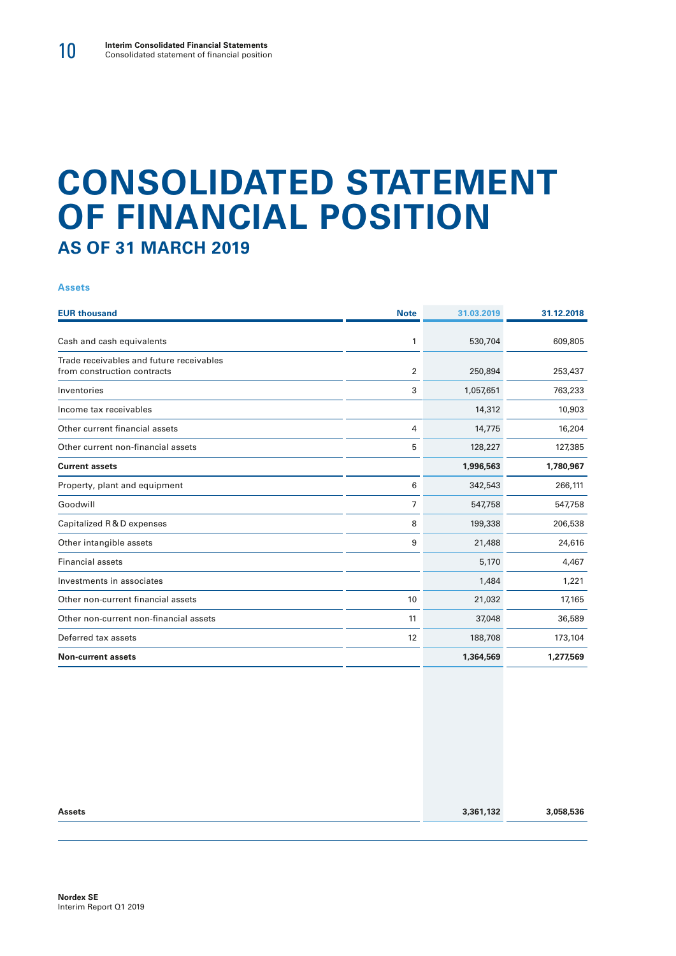# **CONSOLIDATED STATEMENT OF FINANCIAL POSITION AS OF 31 MARCH 2019**

#### **Assets**

| <b>EUR thousand</b>                                                     | <b>Note</b> | 31.03.2019 | 31.12.2018 |
|-------------------------------------------------------------------------|-------------|------------|------------|
|                                                                         |             |            |            |
| Cash and cash equivalents                                               | 1           | 530,704    | 609,805    |
| Trade receivables and future receivables<br>from construction contracts | 2           | 250,894    | 253,437    |
| Inventories                                                             | 3           | 1,057,651  | 763,233    |
| Income tax receivables                                                  |             | 14,312     | 10,903     |
| Other current financial assets                                          | 4           | 14,775     | 16,204     |
| Other current non-financial assets                                      | 5           | 128,227    | 127,385    |
| <b>Current assets</b>                                                   |             | 1,996,563  | 1,780,967  |
| Property, plant and equipment                                           | 6           | 342,543    | 266,111    |
| Goodwill                                                                | 7           | 547,758    | 547,758    |
| Capitalized R & D expenses                                              | 8           | 199,338    | 206,538    |
| Other intangible assets                                                 | 9           | 21,488     | 24,616     |
| <b>Financial assets</b>                                                 |             | 5,170      | 4,467      |
| Investments in associates                                               |             | 1,484      | 1,221      |
| Other non-current financial assets                                      | 10          | 21,032     | 17,165     |
| Other non-current non-financial assets                                  | 11          | 37,048     | 36,589     |
| Deferred tax assets                                                     | 12          | 188,708    | 173,104    |
| <b>Non-current assets</b>                                               |             | 1,364,569  | 1,277,569  |

| <b>Assets</b> | 3,361,132 | 3,058,536 |
|---------------|-----------|-----------|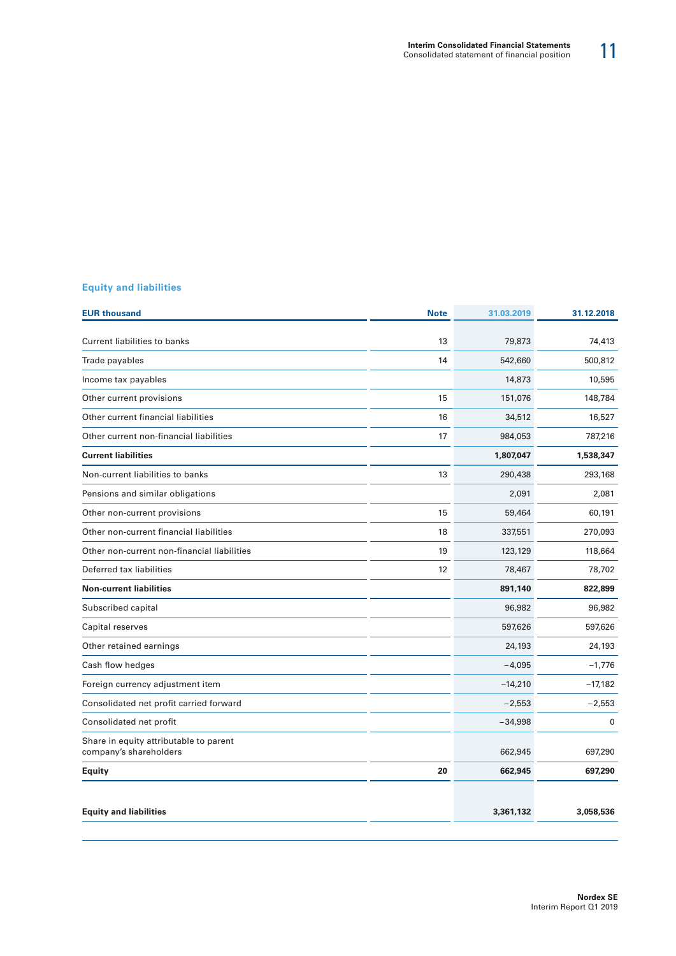#### **Equity and liabilities**

| <b>Note</b> | 31.03.2019 | 31.12.2018 |
|-------------|------------|------------|
| 13          | 79,873     | 74,413     |
| 14          | 542,660    | 500,812    |
|             | 14,873     | 10,595     |
| 15          | 151,076    | 148,784    |
| 16          | 34,512     | 16,527     |
| 17          | 984,053    | 787,216    |
|             | 1,807,047  | 1,538,347  |
| 13          | 290,438    | 293,168    |
|             | 2,091      | 2,081      |
| 15          | 59,464     | 60,191     |
| 18          | 337,551    | 270,093    |
| 19          | 123,129    | 118,664    |
| 12          | 78,467     | 78,702     |
|             | 891,140    | 822,899    |
|             | 96,982     | 96,982     |
|             | 597,626    | 597,626    |
|             | 24,193     | 24,193     |
|             | $-4,095$   | $-1,776$   |
|             | $-14,210$  | $-17,182$  |
|             | $-2,553$   | $-2,553$   |
|             | $-34,998$  | 0          |
|             | 662,945    | 697,290    |
| 20          | 662,945    | 697,290    |
|             |            |            |
|             | 3,361,132  | 3,058,536  |
|             |            |            |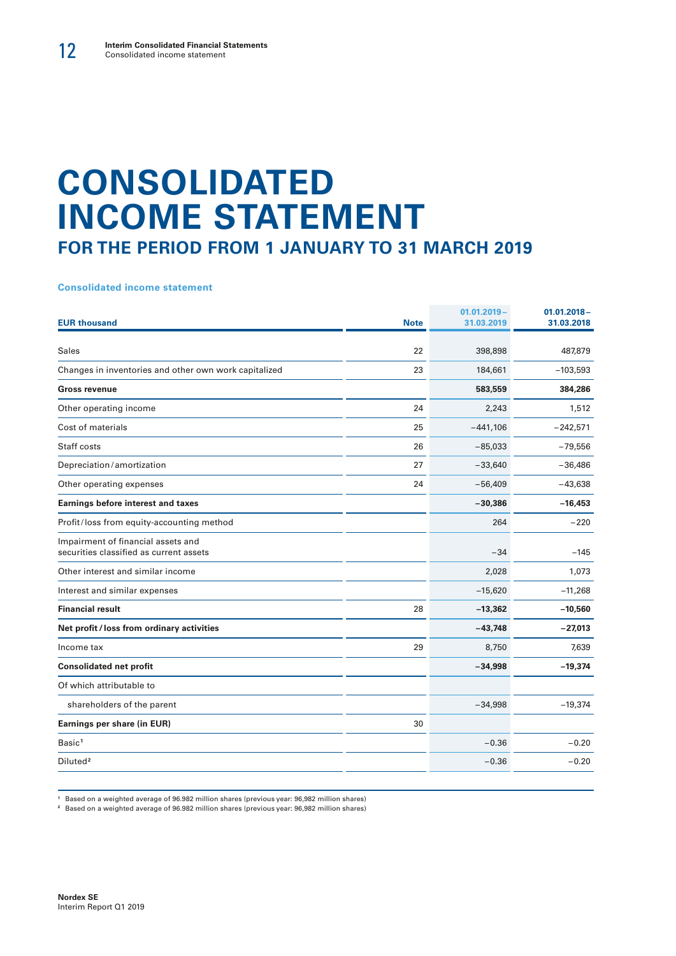# **CONSOLIDATED INCOME STATEMENT FOR THE PERIOD FROM 1 JANUARY TO 31 MARCH 2019**

**Consolidated income statement**

| <b>EUR thousand</b>                                                           | <b>Note</b> | $01.01.2019 -$<br>31.03.2019 | $01.01.2018 -$<br>31.03.2018 |
|-------------------------------------------------------------------------------|-------------|------------------------------|------------------------------|
|                                                                               |             |                              |                              |
| <b>Sales</b>                                                                  | 22          | 398,898                      | 487,879                      |
| Changes in inventories and other own work capitalized                         | 23          | 184,661                      | $-103,593$                   |
| <b>Gross revenue</b>                                                          |             | 583,559                      | 384,286                      |
| Other operating income                                                        | 24          | 2,243                        | 1,512                        |
| Cost of materials                                                             | 25          | $-441,106$                   | $-242,571$                   |
| Staff costs                                                                   | 26          | $-85,033$                    | $-79,556$                    |
| Depreciation/amortization                                                     | 27          | $-33,640$                    | $-36,486$                    |
| Other operating expenses                                                      | 24          | $-56,409$                    | $-43,638$                    |
| <b>Earnings before interest and taxes</b>                                     |             | $-30,386$                    | $-16,453$                    |
| Profit/loss from equity-accounting method                                     |             | 264                          | $-220$                       |
| Impairment of financial assets and<br>securities classified as current assets |             | $-34$                        | $-145$                       |
| Other interest and similar income                                             |             | 2,028                        | 1,073                        |
| Interest and similar expenses                                                 |             | $-15,620$                    | $-11,268$                    |
| <b>Financial result</b>                                                       | 28          | $-13,362$                    | $-10,560$                    |
| Net profit / loss from ordinary activities                                    |             | $-43,748$                    | $-27,013$                    |
| Income tax                                                                    | 29          | 8,750                        | 7,639                        |
| <b>Consolidated net profit</b>                                                |             | $-34,998$                    | $-19,374$                    |
| Of which attributable to                                                      |             |                              |                              |
| shareholders of the parent                                                    |             | $-34,998$                    | $-19,374$                    |
| Earnings per share (in EUR)                                                   | 30          |                              |                              |
| Basic <sup>1</sup>                                                            |             | $-0.36$                      | $-0.20$                      |
| Diluted <sup>2</sup>                                                          |             | $-0.36$                      | $-0.20$                      |
|                                                                               |             |                              |                              |

**<sup>1</sup>** Based on a weighted average of 96.982 million shares (previous year: 96,982 million shares)

**<sup>2</sup>** Based on a weighted average of 96.982 million shares (previous year: 96,982 million shares)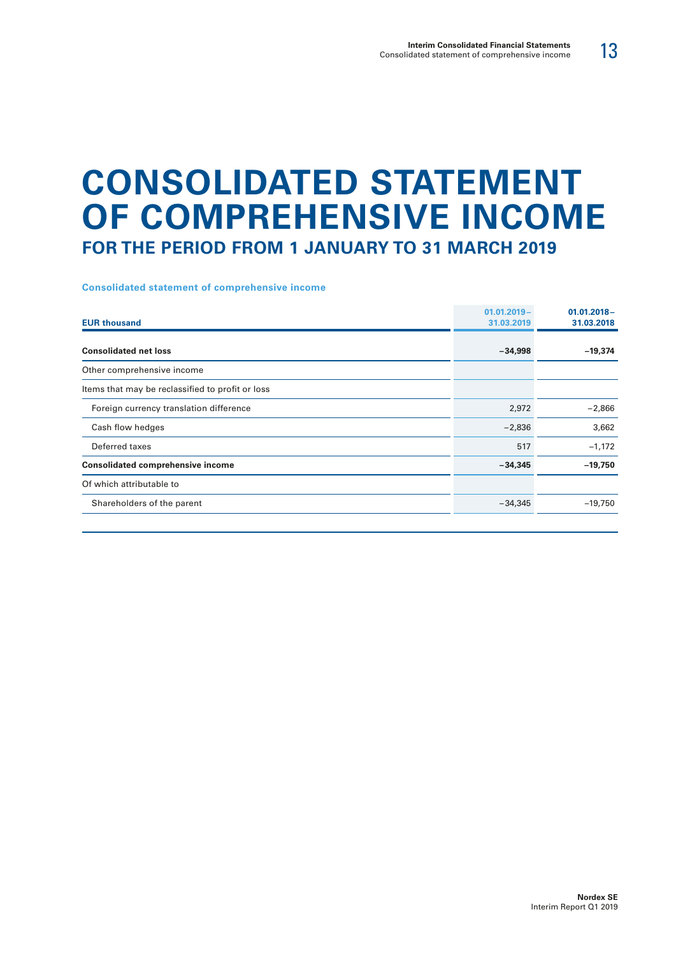# **CONSOLIDATED STATEMENT OF COMPREHENSIVE INCOME FOR THE PERIOD FROM 1 JANUARY TO 31 MARCH 2019**

#### **Consolidated statement of comprehensive income**

| <b>EUR thousand</b>                              | $01.01.2019 -$<br>31.03.2019 | $01.01.2018 -$<br>31.03.2018 |
|--------------------------------------------------|------------------------------|------------------------------|
| <b>Consolidated net loss</b>                     | $-34,998$                    | $-19,374$                    |
| Other comprehensive income                       |                              |                              |
| Items that may be reclassified to profit or loss |                              |                              |
| Foreign currency translation difference          | 2,972                        | $-2,866$                     |
| Cash flow hedges                                 | $-2,836$                     | 3,662                        |
| Deferred taxes                                   | 517                          | $-1,172$                     |
| <b>Consolidated comprehensive income</b>         | $-34,345$                    | $-19,750$                    |
| Of which attributable to                         |                              |                              |
| Shareholders of the parent                       | $-34,345$                    | $-19,750$                    |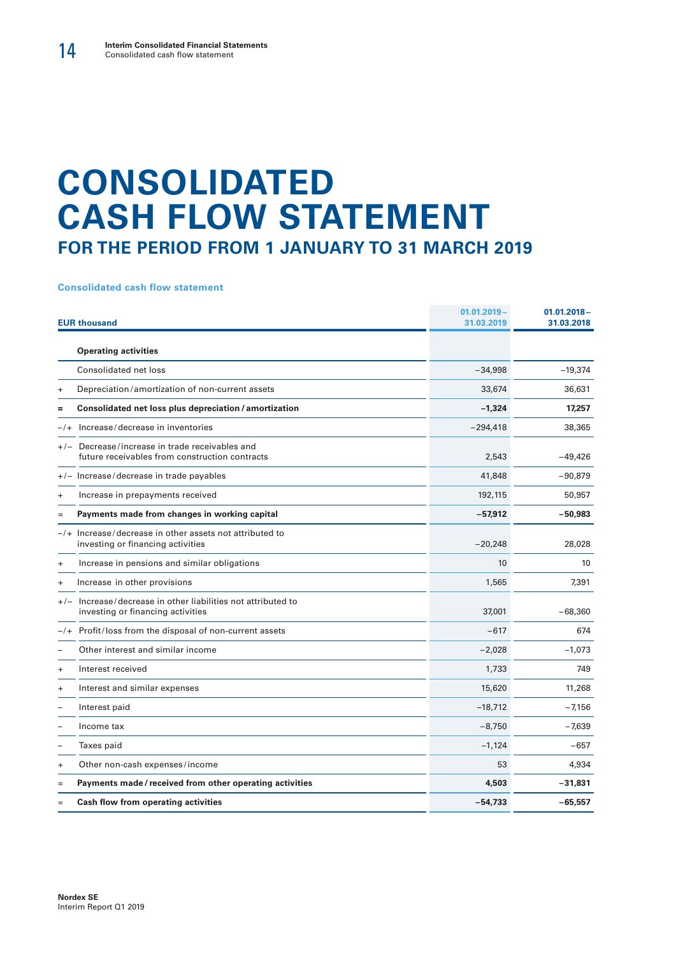# **CONSOLIDATED CASH FLOW STATEMENT FOR THE PERIOD FROM 1 JANUARY TO 31 MARCH 2019**

#### **Consolidated cash flow statement**

|           | <b>EUR thousand</b>                                                                               | $01.01.2019 -$<br>31.03.2019 | $01.01.2018 -$<br>31.03.2018 |
|-----------|---------------------------------------------------------------------------------------------------|------------------------------|------------------------------|
|           | <b>Operating activities</b>                                                                       |                              |                              |
|           | Consolidated net loss                                                                             | $-34,998$                    | $-19,374$                    |
| $\ddot{}$ | Depreciation/amortization of non-current assets                                                   | 33,674                       | 36,631                       |
| =         | Consolidated net loss plus depreciation / amortization                                            | $-1,324$                     | 17,257                       |
| $-1$      | Increase/decrease in inventories                                                                  | $-294,418$                   | 38,365                       |
|           | +/- Decrease/increase in trade receivables and<br>future receivables from construction contracts  | 2,543                        | $-49.426$                    |
|           | +/- Increase/decrease in trade payables                                                           | 41,848                       | $-90,879$                    |
| $\ddot{}$ | Increase in prepayments received                                                                  | 192,115                      | 50,957                       |
| $=$       | Payments made from changes in working capital                                                     | $-57,912$                    | $-50,983$                    |
|           | $-$ /+ Increase/decrease in other assets not attributed to<br>investing or financing activities   | $-20,248$                    | 28,028                       |
| $\ddot{}$ | Increase in pensions and similar obligations                                                      | 10                           | 10                           |
| $\ddot{}$ | Increase in other provisions                                                                      | 1,565                        | 7,391                        |
|           | +/- Increase/decrease in other liabilities not attributed to<br>investing or financing activities | 37,001                       | $-68,360$                    |
|           | $-/+$ Profit/loss from the disposal of non-current assets                                         | $-617$                       | 674                          |
|           | Other interest and similar income                                                                 | $-2,028$                     | $-1,073$                     |
| $\ddot{}$ | Interest received                                                                                 | 1,733                        | 749                          |
| $\ddot{}$ | Interest and similar expenses                                                                     | 15,620                       | 11,268                       |
|           | Interest paid                                                                                     | $-18,712$                    | $-7,156$                     |
|           | Income tax                                                                                        | $-8,750$                     | $-7,639$                     |
|           | Taxes paid                                                                                        | $-1,124$                     | $-657$                       |
| $\ddot{}$ | Other non-cash expenses/income                                                                    | 53                           | 4,934                        |
| $=$       | Payments made/received from other operating activities                                            | 4,503                        | $-31,831$                    |
| $=$       | Cash flow from operating activities                                                               | $-54,733$                    | $-65,557$                    |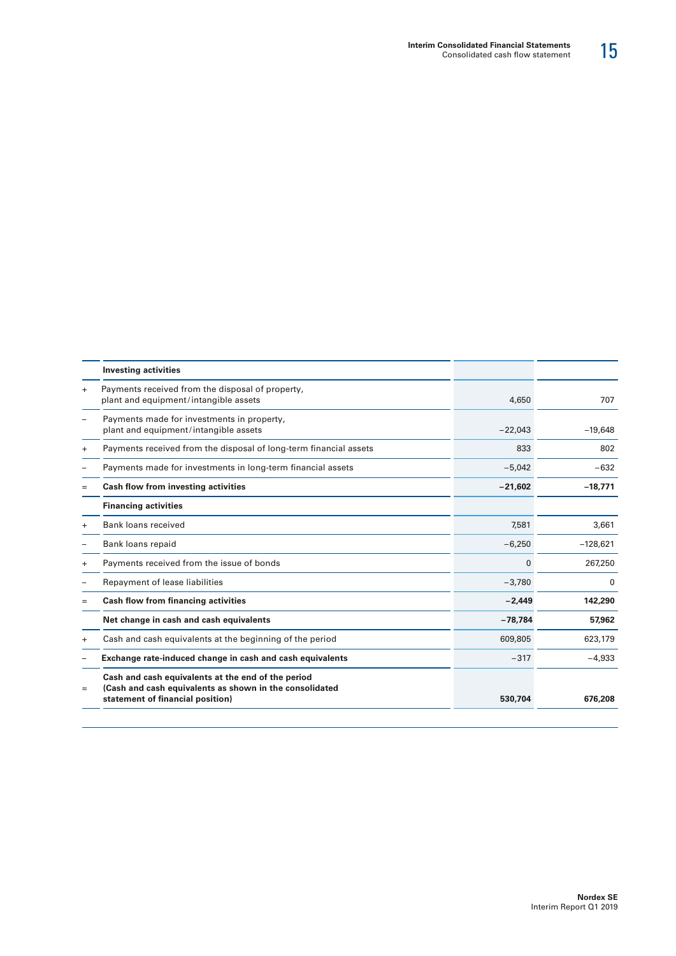|           | <b>Investing activities</b>                                                                                                                       |             |            |
|-----------|---------------------------------------------------------------------------------------------------------------------------------------------------|-------------|------------|
| $+$       | Payments received from the disposal of property,<br>plant and equipment/intangible assets                                                         | 4,650       | 707        |
|           | Payments made for investments in property,<br>plant and equipment/intangible assets                                                               | $-22,043$   | $-19,648$  |
| $\ddot{}$ | Payments received from the disposal of long-term financial assets                                                                                 | 833         | 802        |
| -         | Payments made for investments in long-term financial assets                                                                                       | $-5,042$    | $-632$     |
| $=$       | Cash flow from investing activities                                                                                                               | $-21,602$   | $-18,771$  |
|           | <b>Financing activities</b>                                                                                                                       |             |            |
| $\ddot{}$ | Bank loans received                                                                                                                               | 7,581       | 3,661      |
|           | Bank loans repaid                                                                                                                                 | $-6,250$    | $-128,621$ |
| $\ddot{}$ | Payments received from the issue of bonds                                                                                                         | $\mathbf 0$ | 267,250    |
|           | Repayment of lease liabilities                                                                                                                    | $-3,780$    | 0          |
| $=$       | <b>Cash flow from financing activities</b>                                                                                                        | $-2,449$    | 142,290    |
|           | Net change in cash and cash equivalents                                                                                                           | $-78,784$   | 57,962     |
| $\ddot{}$ | Cash and cash equivalents at the beginning of the period                                                                                          | 609,805     | 623,179    |
|           | Exchange rate-induced change in cash and cash equivalents                                                                                         | $-317$      | $-4,933$   |
| $=$       | Cash and cash equivalents at the end of the period<br>(Cash and cash equivalents as shown in the consolidated<br>statement of financial position) | 530,704     | 676,208    |
|           |                                                                                                                                                   |             |            |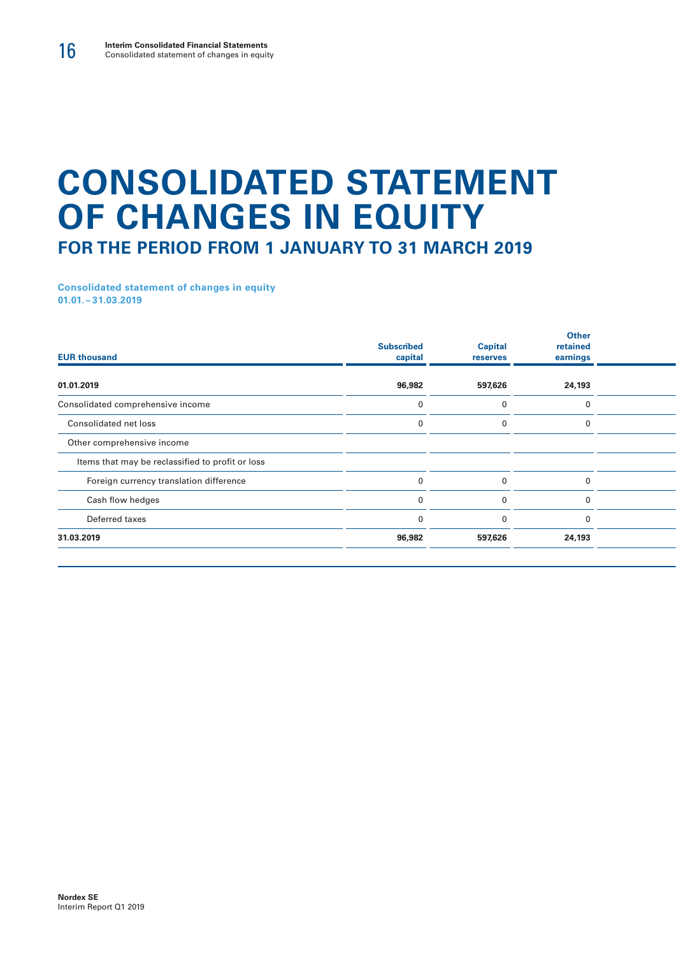# **CONSOLIDATED STATEMENT OF CHANGES IN EQUITY FOR THE PERIOD FROM 1 JANUARY TO 31 MARCH 2019**

**Consolidated statement of changes in equity 01.01. – 31.03.2019**

| <b>EUR thousand</b>                              | <b>Subscribed</b><br>capital | <b>Capital</b><br>reserves | <b>Other</b><br>retained<br>earnings |  |  |
|--------------------------------------------------|------------------------------|----------------------------|--------------------------------------|--|--|
| 01.01.2019                                       | 96,982                       | 597,626                    | 24,193                               |  |  |
| Consolidated comprehensive income                |                              |                            | $\Omega$                             |  |  |
| Consolidated net loss                            |                              |                            |                                      |  |  |
| Other comprehensive income                       |                              |                            |                                      |  |  |
| Items that may be reclassified to profit or loss |                              |                            |                                      |  |  |
| Foreign currency translation difference          |                              |                            | 0                                    |  |  |
| Cash flow hedges                                 |                              | n                          | $\Omega$                             |  |  |
| Deferred taxes                                   |                              | $\Omega$                   | $\mathbf 0$                          |  |  |
| 31.03.2019                                       | 96,982                       | 597,626                    | 24,193                               |  |  |
|                                                  |                              |                            |                                      |  |  |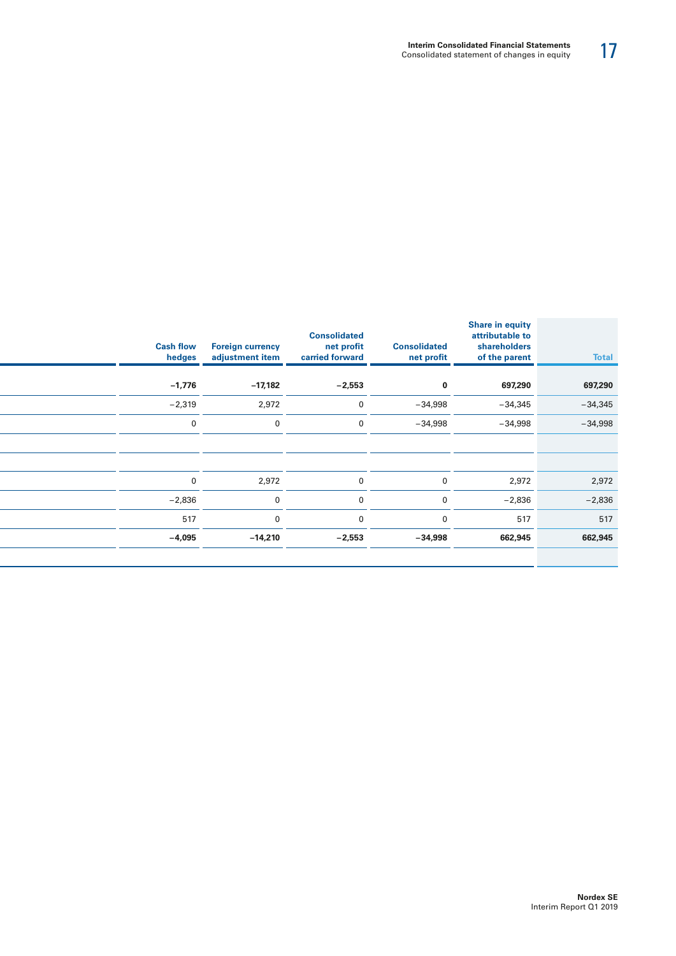| <b>Total</b> | <b>Share in equity</b><br>attributable to<br>shareholders<br>of the parent | <b>Consolidated</b><br>net profit | <b>Consolidated</b><br>net profit<br>carried forward | <b>Foreign currency</b><br>adjustment item | <b>Cash flow</b><br>hedges |
|--------------|----------------------------------------------------------------------------|-----------------------------------|------------------------------------------------------|--------------------------------------------|----------------------------|
|              |                                                                            |                                   |                                                      |                                            |                            |
| 697,290      | 697,290                                                                    | $\mathbf{0}$                      | $-2,553$                                             | $-17,182$                                  | $-1,776$                   |
| $-34,345$    | $-34,345$                                                                  | $-34,998$                         | $\Omega$                                             | 2,972                                      | $-2,319$                   |
| $-34,998$    | $-34,998$                                                                  | $-34,998$                         | $\Omega$                                             | $\Omega$                                   | $\Omega$                   |
|              |                                                                            |                                   |                                                      |                                            |                            |
|              |                                                                            |                                   |                                                      |                                            |                            |
| 2,972        | 2,972                                                                      | $\overline{0}$                    | $\Omega$                                             | 2,972                                      | $\overline{0}$             |
| $-2,836$     | $-2,836$                                                                   | $\overline{0}$                    | $\Omega$                                             | $\Omega$                                   | $-2,836$                   |
| 517          | 517                                                                        | $\mathbf{0}$                      | $\Omega$                                             |                                            | 517                        |
| 662,945      | 662,945                                                                    | $-34,998$                         | $-2,553$                                             | $-14,210$                                  | $-4,095$                   |
|              |                                                                            |                                   |                                                      |                                            |                            |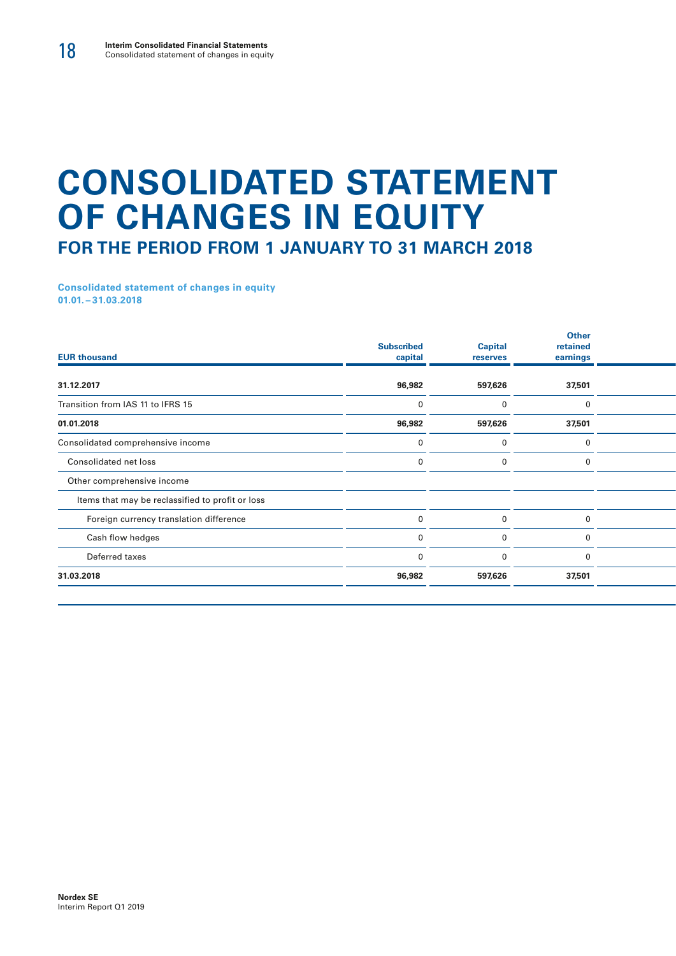# **CONSOLIDATED STATEMENT OF CHANGES IN EQUITY FOR THE PERIOD FROM 1 JANUARY TO 31 MARCH 2018**

**Consolidated statement of changes in equity 01.01. – 31.03.2018**

| <b>Subscribed</b><br>capital | <b>Capital</b><br>reserves | <b>Other</b><br>retained<br>earnings |  |
|------------------------------|----------------------------|--------------------------------------|--|
| 96,982                       | 597,626                    | 37,501                               |  |
|                              | $\Omega$                   | $\mathbf 0$                          |  |
| 96,982                       | 597,626                    | 37,501                               |  |
|                              |                            | 0                                    |  |
|                              |                            | 0                                    |  |
|                              |                            |                                      |  |
|                              |                            |                                      |  |
|                              |                            | $\Omega$                             |  |
|                              |                            | 0                                    |  |
|                              | $\Omega$                   | $\mathbf 0$                          |  |
| 96,982                       | 597,626                    | 37,501                               |  |
|                              |                            |                                      |  |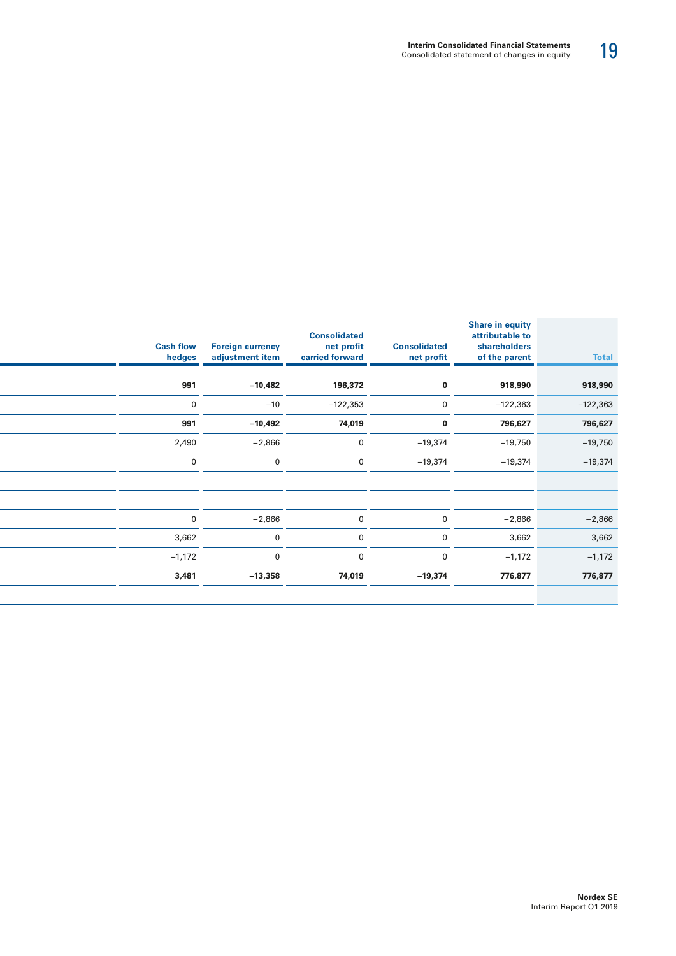| <b>Total</b> | <b>Share in equity</b><br>attributable to<br>shareholders<br>of the parent | <b>Consolidated</b><br>net profit | <b>Consolidated</b><br>net profit<br>carried forward | <b>Cash flow Foreign currency</b><br>adjustment item | hedges      |
|--------------|----------------------------------------------------------------------------|-----------------------------------|------------------------------------------------------|------------------------------------------------------|-------------|
|              |                                                                            |                                   |                                                      |                                                      |             |
| 918,990      | 918,990                                                                    | $\mathbf 0$                       | 196,372                                              | $-10,482$                                            | 991         |
| $-122,363$   | $-122,363$                                                                 | $\overline{0}$                    | $-122,353$                                           | $-10$                                                | $\mathbf 0$ |
| 796,627      | 796,627                                                                    | $\mathbf{0}$                      | 74,019                                               | $-10,492$                                            | 991         |
| $-19,750$    | $-19,750$                                                                  | $-19,374$                         | $\Omega$                                             | $-2,866$                                             | 2,490       |
| $-19,374$    | $-19,374$                                                                  | $-19,374$                         | $\Omega$                                             | $\mathbf{0}$                                         | $\mathbf 0$ |
|              |                                                                            |                                   |                                                      |                                                      |             |
|              |                                                                            |                                   |                                                      |                                                      |             |
| $-2,866$     | $-2,866$                                                                   | $\overline{0}$                    | $\mathbf{0}$                                         | $-2,866$                                             | $\mathbf 0$ |
| 3,662        | 3,662                                                                      | $\overline{0}$                    | $\Omega$                                             | $\mathbf 0$                                          | 3,662       |
| $-1,172$     | $-1,172$                                                                   | $\overline{0}$                    | $\overline{0}$                                       | $\mathbf 0$                                          | $-1,172$    |
| 776,877      | 776,877                                                                    | $-19,374$                         | 74,019                                               | $-13,358$                                            | 3,481       |
|              |                                                                            |                                   |                                                      |                                                      |             |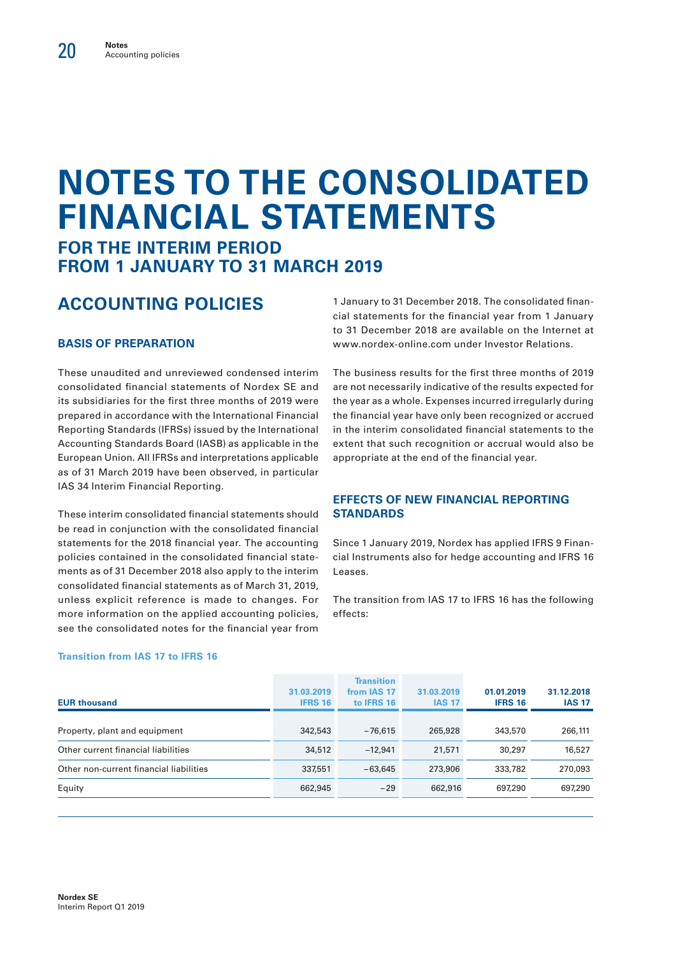# **NOTES TO THE CONSOLIDATED FINANCIAL STATEMENTS**

## **FOR THE INTERIM PERIOD FROM 1 JANUARY TO 31 MARCH 2019**

# **ACCOUNTING POLICIES**

#### **BASIS OF PREPARATION**

These unaudited and unreviewed condensed interim consolidated financial statements of Nordex SE and its subsidiaries for the first three months of 2019 were prepared in accordance with the International Financial Reporting Standards (IFRSs) issued by the International Accounting Standards Board (IASB) as applicable in the European Union. All IFRSs and interpretations applicable as of 31 March 2019 have been observed, in particular IAS 34 Interim Financial Reporting.

These interim consolidated financial statements should be read in conjunction with the consolidated financial statements for the 2018 financial year. The accounting policies contained in the consolidated financial statements as of 31 December 2018 also apply to the interim consolidated financial statements as of March 31, 2019, unless explicit reference is made to changes. For more information on the applied accounting policies, see the consolidated notes for the financial year from

**Transition from IAS 17 to IFRS 16**

1 January to 31 December 2018. The consolidated financial statements for the financial year from 1 January to 31 December 2018 are available on the Internet at www.nordex-online.com under Investor Relations.

The business results for the first three months of 2019 are not necessarily indicative of the results expected for the year as a whole. Expenses incurred irregularly during the financial year have only been recognized or accrued in the interim consolidated financial statements to the extent that such recognition or accrual would also be appropriate at the end of the financial year.

#### **EFFECTS OF NEW FINANCIAL REPORTING STANDARDS**

Since 1 January 2019, Nordex has applied IFRS 9 Financial Instruments also for hedge accounting and IFRS 16 Leases.

The transition from IAS 17 to IFRS 16 has the following effects:

| <b>EUR thousand</b>                     | 31.03.2019<br><b>IFRS 16</b> | <b>Transition</b><br>from IAS 17<br>to IFRS 16 | 31.03.2019<br><b>IAS 17</b> | 01.01.2019<br><b>IFRS 16</b> | 31.12.2018<br><b>IAS 17</b> |
|-----------------------------------------|------------------------------|------------------------------------------------|-----------------------------|------------------------------|-----------------------------|
|                                         |                              |                                                |                             |                              |                             |
| Property, plant and equipment           | 342,543                      | $-76.615$                                      | 265,928                     | 343,570                      | 266,111                     |
| Other current financial liabilities     | 34,512                       | $-12.941$                                      | 21,571                      | 30,297                       | 16,527                      |
| Other non-current financial liabilities | 337,551                      | $-63.645$                                      | 273,906                     | 333,782                      | 270,093                     |
| Equity                                  | 662,945                      | $-29$                                          | 662,916                     | 697,290                      | 697,290                     |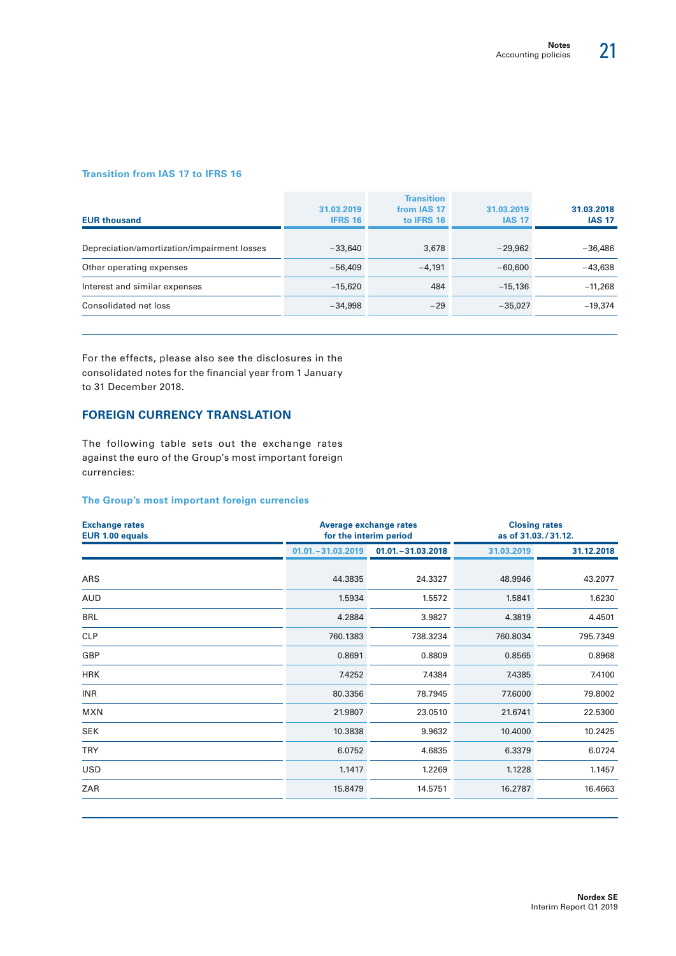#### **Transition from IAS 17 to IFRS 16**

| <b>EUR thousand</b>                         | 31.03.2019<br><b>IFRS 16</b> | <b>Transition</b><br>from IAS 17<br>to IFRS 16 | 31.03.2019<br><b>IAS 17</b> | 31.03.2018<br><b>IAS 17</b> |
|---------------------------------------------|------------------------------|------------------------------------------------|-----------------------------|-----------------------------|
|                                             |                              |                                                |                             |                             |
| Depreciation/amortization/impairment losses | $-33.640$                    | 3,678                                          | $-29.962$                   | $-36,486$                   |
| Other operating expenses                    | $-56,409$                    | $-4.191$                                       | $-60,600$                   | $-43.638$                   |
| Interest and similar expenses               | $-15.620$                    | 484                                            | $-15,136$                   | $-11.268$                   |
| Consolidated net loss                       | $-34.998$                    | $-29$                                          | $-35,027$                   | $-19,374$                   |
|                                             |                              |                                                |                             |                             |

For the effects, please also see the disclosures in the consolidated notes for the financial year from 1 January to 31 December 2018.

#### **FOREIGN CURRENCY TRANSLATION**

The following table sets out the exchange rates against the euro of the Group's most important foreign currencies:

#### **The Group's most important foreign currencies**

| <b>Exchange rates</b><br>EUR 1.00 equals |                      | <b>Average exchange rates</b><br>for the interim period | <b>Closing rates</b><br>as of 31.03./31.12. |            |  |
|------------------------------------------|----------------------|---------------------------------------------------------|---------------------------------------------|------------|--|
|                                          | $01.01 - 31.03.2019$ | $01.01 - 31.03.2018$                                    | 31.03.2019                                  | 31.12.2018 |  |
| ARS                                      | 44.3835              | 24.3327                                                 | 48.9946                                     | 43.2077    |  |
| <b>AUD</b>                               | 1.5934               | 1.5572                                                  | 1.5841                                      | 1.6230     |  |
| <b>BRL</b>                               | 4.2884               | 3.9827                                                  | 4.3819                                      | 4.4501     |  |
| <b>CLP</b>                               | 760.1383             | 738.3234                                                | 760.8034                                    | 795.7349   |  |
| GBP                                      | 0.8691               | 0.8809                                                  | 0.8565                                      | 0.8968     |  |
| <b>HRK</b>                               | 7.4252               | 7.4384                                                  | 7.4385                                      | 7.4100     |  |
| <b>INR</b>                               | 80.3356              | 78.7945                                                 | 77.6000                                     | 79.8002    |  |
| <b>MXN</b>                               | 21.9807              | 23.0510                                                 | 21.6741                                     | 22.5300    |  |
| <b>SEK</b>                               | 10.3838              | 9.9632                                                  | 10.4000                                     | 10.2425    |  |
| <b>TRY</b>                               | 6.0752               | 4.6835                                                  | 6.3379                                      | 6.0724     |  |
| <b>USD</b>                               | 1.1417               | 1.2269                                                  | 1.1228                                      | 1.1457     |  |
| ZAR                                      | 15.8479              | 14.5751                                                 | 16.2787                                     | 16.4663    |  |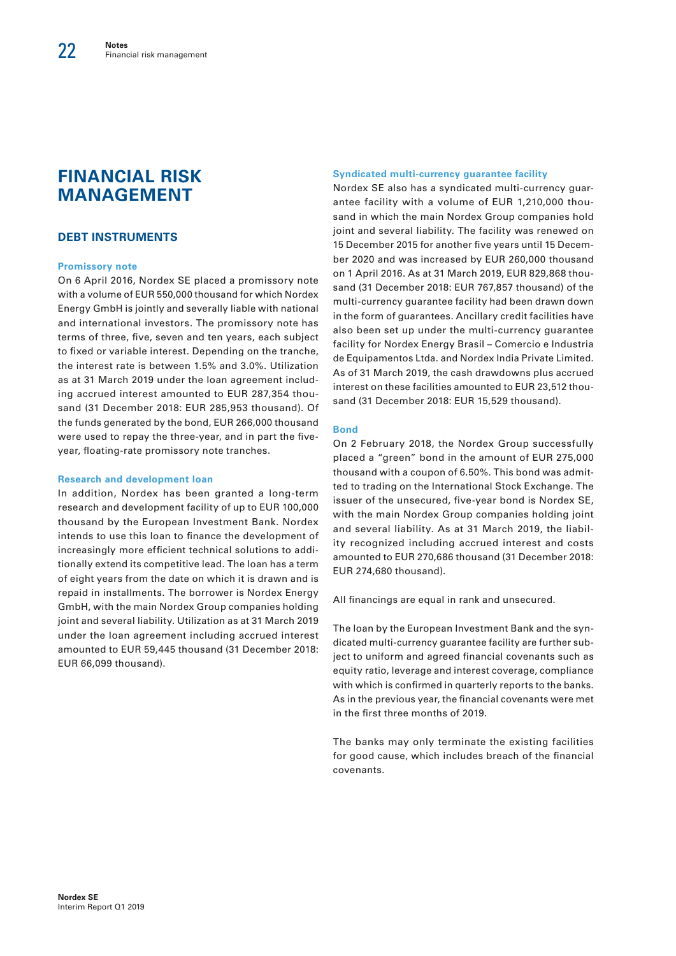## **FINANCIAL RISK MANAGEMENT**

#### **DEBT INSTRUMENTS**

#### **Promissory note**

On 6 April 2016, Nordex SE placed a promissory note with a volume of EUR 550,000 thousand for which Nordex Energy GmbH is jointly and severally liable with national and international investors. The promissory note has terms of three, five, seven and ten years, each subject to fixed or variable interest. Depending on the tranche, the interest rate is between 1.5% and 3.0%. Utilization as at 31 March 2019 under the loan agreement including accrued interest amounted to EUR 287,354 thousand (31 December 2018: EUR 285,953 thousand). Of the funds generated by the bond, EUR 266,000 thousand were used to repay the three-year, and in part the fiveyear, floating-rate promissory note tranches.

#### **Research and development loan**

In addition, Nordex has been granted a long-term research and development facility of up to EUR 100,000 thousand by the European Investment Bank. Nordex intends to use this loan to finance the development of increasingly more efficient technical solutions to additionally extend its competitive lead. The loan has a term of eight years from the date on which it is drawn and is repaid in installments. The borrower is Nordex Energy GmbH, with the main Nordex Group companies holding joint and several liability. Utilization as at 31 March 2019 under the loan agreement including accrued interest amounted to EUR 59,445 thousand (31 December 2018: EUR 66,099 thousand).

#### **Syndicated multi-currency guarantee facility**

Nordex SE also has a syndicated multi-currency guarantee facility with a volume of EUR 1,210,000 thousand in which the main Nordex Group companies hold joint and several liability. The facility was renewed on 15 December 2015 for another five years until 15 December 2020 and was increased by EUR 260,000 thousand on 1 April 2016. As at 31 March 2019, EUR 829,868 thousand (31 December 2018: EUR 767,857 thousand) of the multi-currency guarantee facility had been drawn down in the form of guarantees. Ancillary credit facilities have also been set up under the multi-currency guarantee facility for Nordex Energy Brasil – Comercio e Industria de Equipamentos Ltda. and Nordex India Private Limited. As of 31 March 2019, the cash drawdowns plus accrued interest on these facilities amounted to EUR 23,512 thousand (31 December 2018: EUR 15,529 thousand).

#### **Bond**

On 2 February 2018, the Nordex Group successfully placed a "green" bond in the amount of EUR 275,000 thousand with a coupon of 6.50%. This bond was admitted to trading on the International Stock Exchange. The issuer of the unsecured, five-year bond is Nordex SE, with the main Nordex Group companies holding joint and several liability. As at 31 March 2019, the liability recognized including accrued interest and costs amounted to EUR 270,686 thousand (31 December 2018: EUR 274,680 thousand).

All financings are equal in rank and unsecured.

The loan by the European Investment Bank and the syndicated multi-currency guarantee facility are further subject to uniform and agreed financial covenants such as equity ratio, leverage and interest coverage, compliance with which is confirmed in quarterly reports to the banks. As in the previous year, the financial covenants were met in the first three months of 2019.

The banks may only terminate the existing facilities for good cause, which includes breach of the financial covenants.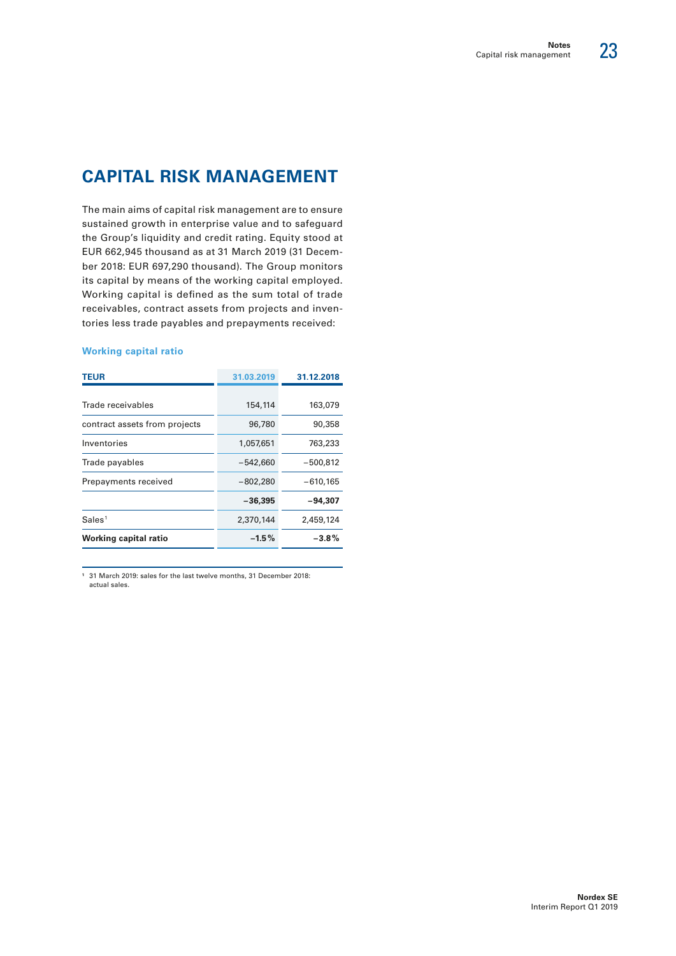# **CAPITAL RISK MANAGEMENT**

The main aims of capital risk management are to ensure sustained growth in enterprise value and to safeguard the Group's liquidity and credit rating. Equity stood at EUR 662,945 thousand as at 31 March 2019 (31 December 2018: EUR 697,290 thousand). The Group monitors its capital by means of the working capital employed. Working capital is defined as the sum total of trade receivables, contract assets from projects and inventories less trade payables and prepayments received:

#### **Working capital ratio**

| TEUR                          | 31.03.2019 | 31.12.2018 |
|-------------------------------|------------|------------|
|                               |            |            |
| Trade receivables             | 154,114    | 163,079    |
| contract assets from projects | 96,780     | 90,358     |
| Inventories                   | 1,057,651  | 763,233    |
| Trade payables                | $-542,660$ | $-500,812$ |
| Prepayments received          | $-802,280$ | $-610.165$ |
|                               | $-36,395$  | $-94,307$  |
| Sales <sup>1</sup>            | 2,370,144  | 2,459,124  |
| Working capital ratio         | $-1.5\%$   | $-3.8%$    |

**1** 31 March 2019: sales for the last twelve months, 31 December 2018: actual sales.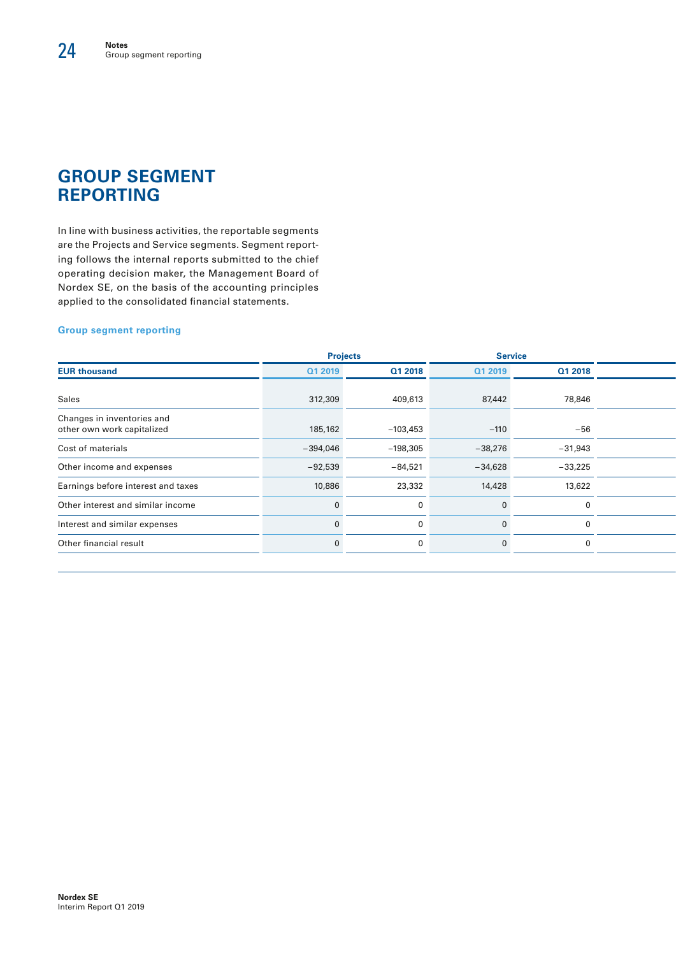# **GROUP SEGMENT REPORTING**

In line with business activities, the reportable segments are the Projects and Service segments. Segment reporting follows the internal reports submitted to the chief operating decision maker, the Management Board of Nordex SE, on the basis of the accounting principles applied to the consolidated financial statements.

#### **Group segment reporting**

|                                                          |            | <b>Projects</b> | <b>Service</b> |           |
|----------------------------------------------------------|------------|-----------------|----------------|-----------|
| <b>EUR thousand</b>                                      | Q1 2019    | Q1 2018         | Q1 2019        | Q1 2018   |
| Sales                                                    | 312,309    | 409,613         | 87,442         | 78,846    |
| Changes in inventories and<br>other own work capitalized | 185,162    | $-103,453$      | $-110$         | $-56$     |
| Cost of materials                                        | $-394,046$ | $-198,305$      | $-38,276$      | $-31,943$ |
| Other income and expenses                                | $-92,539$  | $-84,521$       | $-34,628$      | $-33,225$ |
| Earnings before interest and taxes                       | 10,886     | 23,332          | 14,428         | 13,622    |
| Other interest and similar income                        |            |                 |                |           |
| Interest and similar expenses                            |            |                 |                |           |
| Other financial result                                   |            |                 |                |           |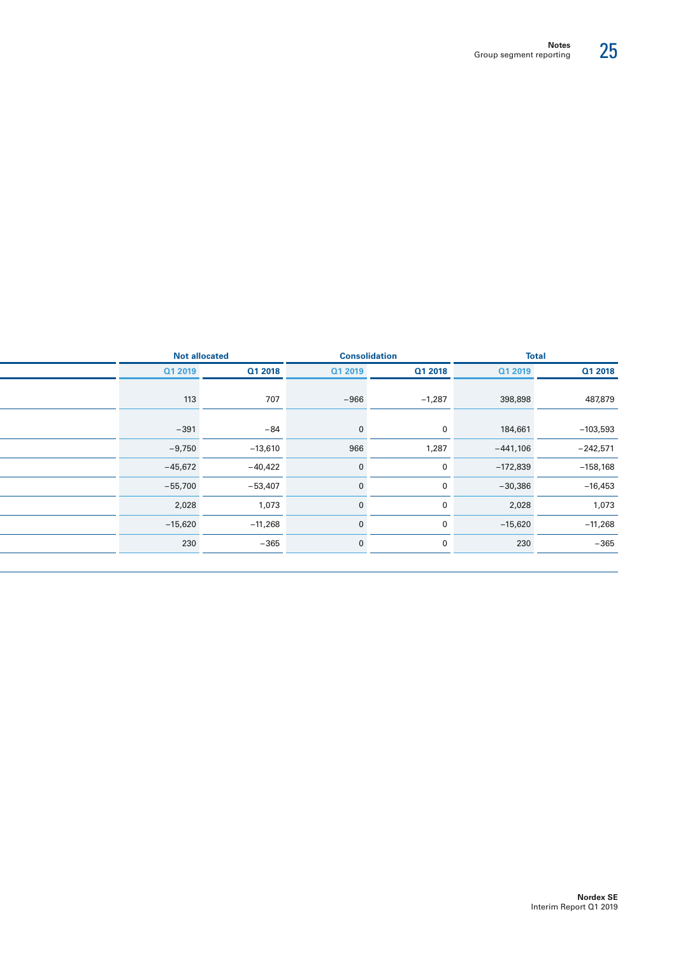| <b>Not allocated</b> |           | <b>Consolidation</b>   |                          | <b>Total</b>                                                                                                                                                                                                                     |
|----------------------|-----------|------------------------|--------------------------|----------------------------------------------------------------------------------------------------------------------------------------------------------------------------------------------------------------------------------|
| Q1 2019              | Q1 2018   |                        |                          | Q1 2018                                                                                                                                                                                                                          |
| 113                  |           |                        |                          | 487,879                                                                                                                                                                                                                          |
| $-391$               |           |                        |                          | $-103,593$                                                                                                                                                                                                                       |
| $-9,750$             | $-13,610$ |                        |                          | $-242,571$                                                                                                                                                                                                                       |
| $-45,672$            | $-40,422$ |                        |                          | $-158,168$                                                                                                                                                                                                                       |
| $-55,700$            | $-53,407$ |                        |                          | $-16,453$                                                                                                                                                                                                                        |
| 2,028                | 1,073     |                        |                          | 1,073                                                                                                                                                                                                                            |
| $-15,620$            | $-11,268$ |                        |                          | $-11,268$                                                                                                                                                                                                                        |
| 230                  |           |                        |                          | $-365$                                                                                                                                                                                                                           |
|                      |           | 707<br>$-84$<br>$-365$ | Q1 2019<br>$-966$<br>966 | Q1 2018<br>Q1 2019<br>398,898<br>$-1,287$<br>184,661<br>$\mathbf{0}$<br>$-441,106$<br>1,287<br>$-172,839$<br>$\mathbf{0}$<br>$-30,386$<br>$\mathbf 0$<br>2,028<br>$\mathbf 0$<br>$-15,620$<br>$\mathbf 0$<br>230<br>$\mathbf{0}$ |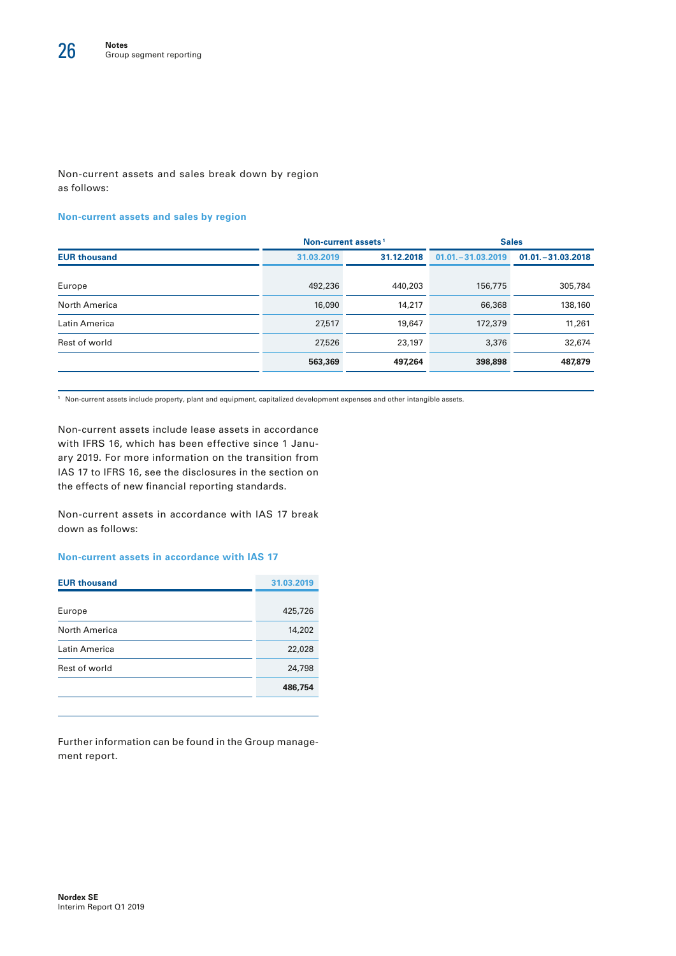#### Non-current assets and sales break down by region as follows:

#### **Non-current assets and sales by region**

|                     | Non-current assets <sup>1</sup> |            | <b>Sales</b>         |                      |  |
|---------------------|---------------------------------|------------|----------------------|----------------------|--|
| <b>EUR thousand</b> | 31.03.2019                      | 31.12.2018 | $01.01 - 31.03.2019$ | $01.01 - 31.03.2018$ |  |
| Europe              | 492,236                         | 440,203    | 156,775              | 305,784              |  |
| North America       | 16,090                          | 14,217     | 66,368               | 138,160              |  |
| Latin America       | 27,517                          | 19,647     | 172,379              | 11,261               |  |
| Rest of world       | 27,526                          | 23,197     | 3,376                | 32,674               |  |
|                     | 563,369                         | 497,264    | 398,898              | 487,879              |  |

**<sup>1</sup>** Non-current assets include property, plant and equipment, capitalized development expenses and other intangible assets.

Non-current assets include lease assets in accordance with IFRS 16, which has been effective since 1 January 2019. For more information on the transition from IAS 17 to IFRS 16, see the disclosures in the section on the effects of new financial reporting standards.

Non-current assets in accordance with IAS 17 break down as follows:

#### **Non-current assets in accordance with IAS 17**

| <b>EUR thousand</b>  | 31.03.2019 |
|----------------------|------------|
| Europe               | 425,726    |
| <b>North America</b> | 14,202     |
| Latin America        | 22,028     |
| Rest of world        | 24,798     |
|                      | 486,754    |
|                      |            |

Further information can be found in the Group management report.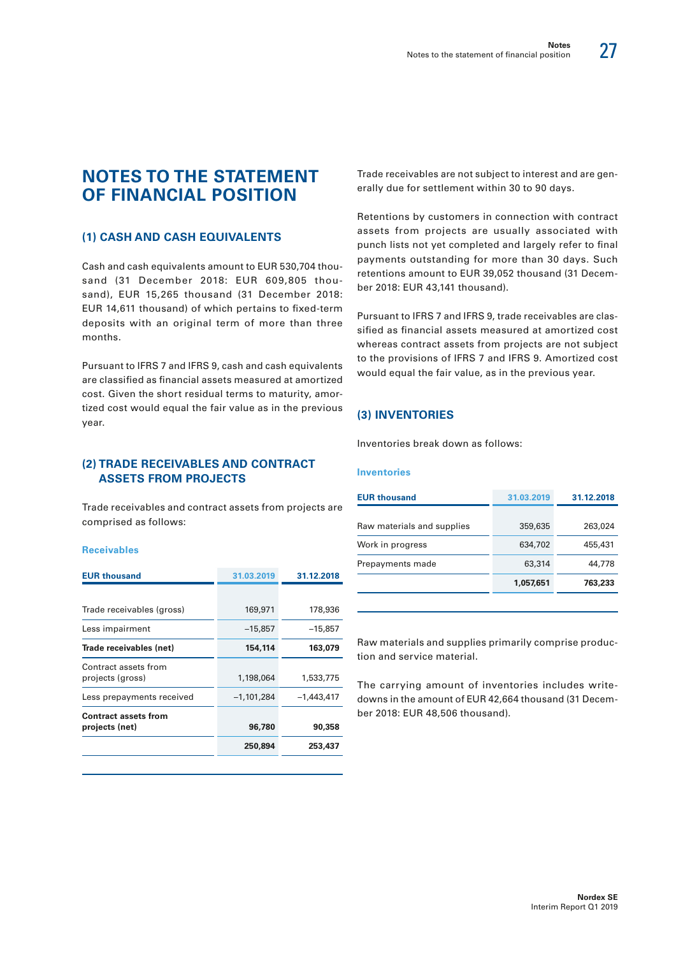27

## **NOTES TO THE STATEMENT OF FINANCIAL POSITION**

#### **(1) CASH AND CASH EQUIVALENTS**

Cash and cash equivalents amount to EUR 530,704 thousand (31 December 2018: EUR 609,805 thousand), EUR 15,265 thousand (31 December 2018: EUR 14,611 thousand) of which pertains to fixed-term deposits with an original term of more than three months.

Pursuant to IFRS 7 and IFRS 9, cash and cash equivalents are classified as financial assets measured at amortized cost. Given the short residual terms to maturity, amortized cost would equal the fair value as in the previous year.

#### **(2) TRADE RECEIVABLES AND CONTRACT ASSETS FROM PROJECTS**

Trade receivables and contract assets from projects are comprised as follows:

#### **Receivables**

| <b>EUR thousand</b>                           | 31.03.2019   | 31.12.2018   |
|-----------------------------------------------|--------------|--------------|
|                                               |              |              |
| Trade receivables (gross)                     | 169,971      | 178,936      |
| Less impairment                               | $-15,857$    | $-15,857$    |
| Trade receivables (net)                       | 154,114      | 163,079      |
| Contract assets from<br>projects (gross)      | 1,198,064    | 1,533,775    |
| Less prepayments received                     | $-1,101,284$ | $-1,443,417$ |
| <b>Contract assets from</b><br>projects (net) | 96,780       | 90,358       |
|                                               | 250,894      | 253,437      |
|                                               |              |              |

Trade receivables are not subject to interest and are generally due for settlement within 30 to 90 days.

Retentions by customers in connection with contract assets from projects are usually associated with punch lists not yet completed and largely refer to final payments outstanding for more than 30 days. Such retentions amount to EUR 39,052 thousand (31 December 2018: EUR 43,141 thousand).

Pursuant to IFRS 7 and IFRS 9, trade receivables are classified as financial assets measured at amortized cost whereas contract assets from projects are not subject to the provisions of IFRS 7 and IFRS 9. Amortized cost would equal the fair value, as in the previous year.

#### **(3) INVENTORIES**

Inventories break down as follows:

#### **Inventories**

| <b>EUR thousand</b>        | 31.03.2019 | 31.12.2018 |
|----------------------------|------------|------------|
| Raw materials and supplies | 359,635    | 263,024    |
| Work in progress           | 634,702    | 455,431    |
| Prepayments made           | 63,314     | 44,778     |
|                            | 1,057,651  | 763,233    |
|                            |            |            |

Raw materials and supplies primarily comprise production and service material.

The carrying amount of inventories includes writedowns in the amount of EUR 42,664 thousand (31 December 2018: EUR 48,506 thousand).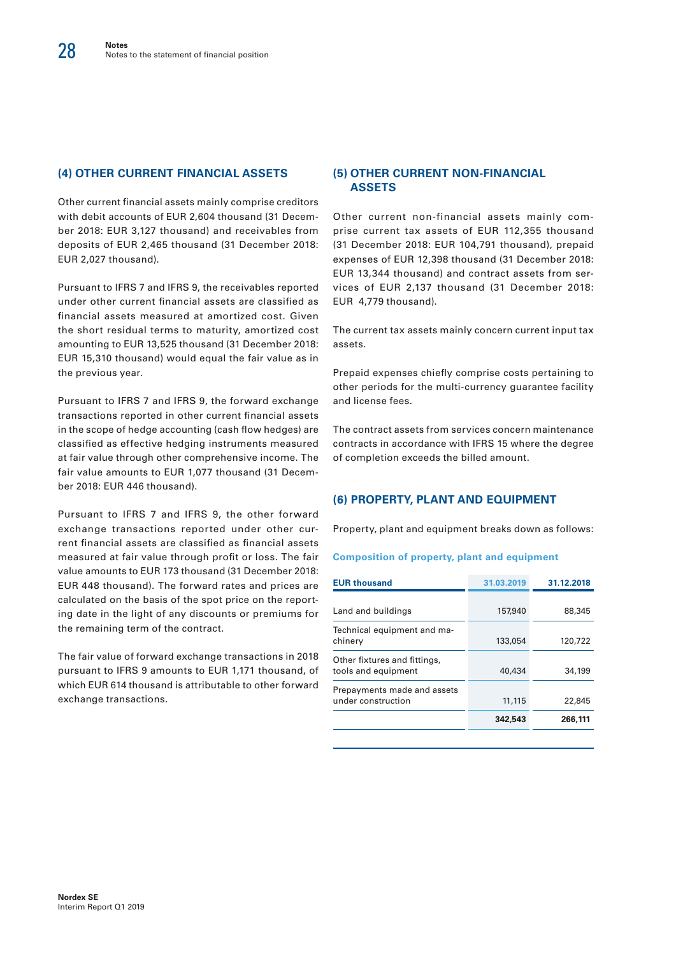#### **(4) OTHER CURRENT FINANCIAL ASSETS**

Other current financial assets mainly comprise creditors with debit accounts of EUR 2,604 thousand (31 December 2018: EUR 3,127 thousand) and receivables from deposits of EUR 2,465 thousand (31 December 2018: EUR 2,027 thousand).

Pursuant to IFRS 7 and IFRS 9, the receivables reported under other current financial assets are classified as financial assets measured at amortized cost. Given the short residual terms to maturity, amortized cost amounting to EUR 13,525 thousand (31 December 2018: EUR 15,310 thousand) would equal the fair value as in the previous year.

Pursuant to IFRS 7 and IFRS 9, the forward exchange transactions reported in other current financial assets in the scope of hedge accounting (cash flow hedges) are classified as effective hedging instruments measured at fair value through other comprehensive income. The fair value amounts to EUR 1,077 thousand (31 December 2018: EUR 446 thousand).

Pursuant to IFRS 7 and IFRS 9, the other forward exchange transactions reported under other current financial assets are classified as financial assets measured at fair value through profit or loss. The fair value amounts to EUR 173 thousand (31 December 2018: EUR 448 thousand). The forward rates and prices are calculated on the basis of the spot price on the reporting date in the light of any discounts or premiums for the remaining term of the contract.

The fair value of forward exchange transactions in 2018 pursuant to IFRS 9 amounts to EUR 1,171 thousand, of which EUR 614 thousand is attributable to other forward exchange transactions.

#### **(5) OTHER CURRENT NON-FINANCIAL ASSETS**

Other current non-financial assets mainly comprise current tax assets of EUR 112,355 thousand (31 December 2018: EUR 104,791 thousand), prepaid expenses of EUR 12,398 thousand (31 December 2018: EUR 13,344 thousand) and contract assets from services of EUR 2,137 thousand (31 December 2018: EUR 4,779 thousand).

The current tax assets mainly concern current input tax assets.

Prepaid expenses chiefly comprise costs pertaining to other periods for the multi-currency guarantee facility and license fees.

The contract assets from services concern maintenance contracts in accordance with IFRS 15 where the degree of completion exceeds the billed amount.

#### **(6) PROPERTY, PLANT AND EQUIPMENT**

Property, plant and equipment breaks down as follows:

#### **Composition of property, plant and equipment**

| <b>EUR thousand</b>                                 | 31.03.2019 | 31.12.2018 |
|-----------------------------------------------------|------------|------------|
|                                                     |            |            |
| Land and buildings                                  | 157,940    | 88,345     |
| Technical equipment and ma-<br>chinery              | 133,054    | 120,722    |
| Other fixtures and fittings,<br>tools and equipment | 40,434     | 34,199     |
| Prepayments made and assets<br>under construction   | 11,115     | 22,845     |
|                                                     | 342,543    | 266,111    |
|                                                     |            |            |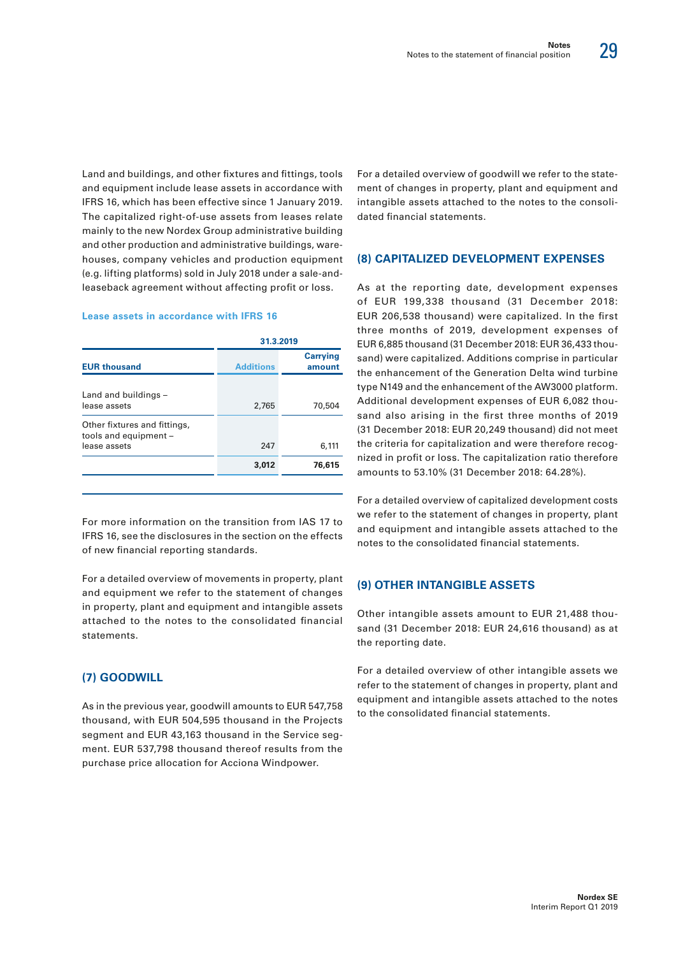29

Land and buildings, and other fixtures and fittings, tools and equipment include lease assets in accordance with IFRS 16, which has been effective since 1 January 2019. The capitalized right-of-use assets from leases relate mainly to the new Nordex Group administrative building and other production and administrative buildings, warehouses, company vehicles and production equipment (e.g. lifting platforms) sold in July 2018 under a sale-andleaseback agreement without affecting profit or loss.

#### **Lease assets in accordance with IFRS 16**

|                                                                       |                  | 31.3.2019                 |
|-----------------------------------------------------------------------|------------------|---------------------------|
| <b>EUR thousand</b>                                                   | <b>Additions</b> | <b>Carrying</b><br>amount |
| Land and buildings -<br>lease assets                                  | 2,765            | 70,504                    |
| Other fixtures and fittings,<br>tools and equipment -<br>lease assets | 247              | 6,111                     |
|                                                                       | 3,012            | 76,615                    |
|                                                                       |                  |                           |

For more information on the transition from IAS 17 to IFRS 16, see the disclosures in the section on the effects of new financial reporting standards.

For a detailed overview of movements in property, plant and equipment we refer to the statement of changes in property, plant and equipment and intangible assets attached to the notes to the consolidated financial statements.

#### **(7) GOODWILL**

As in the previous year, goodwill amounts to EUR 547,758 thousand, with EUR 504,595 thousand in the Projects segment and EUR 43,163 thousand in the Service segment. EUR 537,798 thousand thereof results from the purchase price allocation for Acciona Windpower.

For a detailed overview of goodwill we refer to the statement of changes in property, plant and equipment and intangible assets attached to the notes to the consolidated financial statements.

#### **(8) CAPITALIZED DEVELOPMENT EXPENSES**

As at the reporting date, development expenses of EUR 199,338 thousand (31 December 2018: EUR 206,538 thousand) were capitalized. In the first three months of 2019, development expenses of EUR 6,885 thousand (31 December 2018: EUR 36,433 thousand) were capitalized. Additions comprise in particular the enhancement of the Generation Delta wind turbine type N149 and the enhancement of the AW3000 platform. Additional development expenses of EUR 6,082 thousand also arising in the first three months of 2019 (31 December 2018: EUR 20,249 thousand) did not meet the criteria for capitalization and were therefore recognized in profit or loss. The capitalization ratio therefore amounts to 53.10% (31 December 2018: 64.28%).

For a detailed overview of capitalized development costs we refer to the statement of changes in property, plant and equipment and intangible assets attached to the notes to the consolidated financial statements.

#### **(9) OTHER INTANGIBLE ASSETS**

Other intangible assets amount to EUR 21,488 thousand (31 December 2018: EUR 24,616 thousand) as at the reporting date.

For a detailed overview of other intangible assets we refer to the statement of changes in property, plant and equipment and intangible assets attached to the notes to the consolidated financial statements.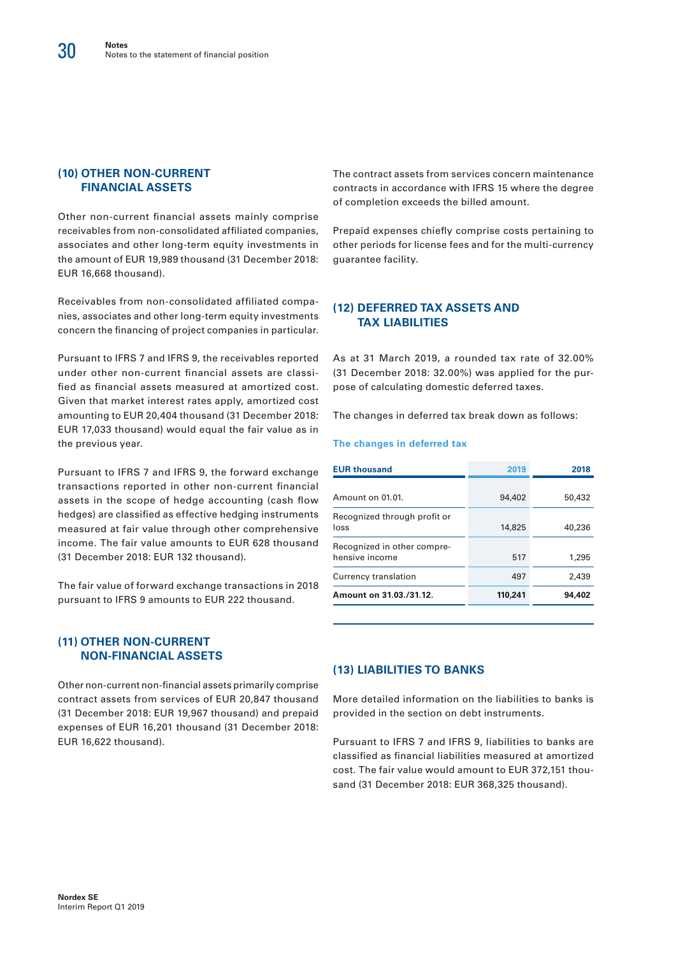#### **(10) OTHER NON-CURRENT FINANCIAL ASSETS**

Other non-current financial assets mainly comprise receivables from non-consolidated affiliated companies, associates and other long-term equity investments in the amount of EUR 19,989 thousand (31 December 2018: EUR 16,668 thousand).

Receivables from non-consolidated affiliated companies, associates and other long-term equity investments concern the financing of project companies in particular.

Pursuant to IFRS 7 and IFRS 9, the receivables reported under other non-current financial assets are classified as financial assets measured at amortized cost. Given that market interest rates apply, amortized cost amounting to EUR 20,404 thousand (31 December 2018: EUR 17,033 thousand) would equal the fair value as in the previous year.

Pursuant to IFRS 7 and IFRS 9, the forward exchange transactions reported in other non-current financial assets in the scope of hedge accounting (cash flow hedges) are classified as effective hedging instruments measured at fair value through other comprehensive income. The fair value amounts to EUR 628 thousand (31 December 2018: EUR 132 thousand).

The fair value of forward exchange transactions in 2018 pursuant to IFRS 9 amounts to EUR 222 thousand.

#### **(11) OTHER NON-CURRENT NON-FINANCIAL ASSETS**

Other non-current non-financial assets primarily comprise contract assets from services of EUR 20,847 thousand (31 December 2018: EUR 19,967 thousand) and prepaid expenses of EUR 16,201 thousand (31 December 2018: EUR 16,622 thousand).

The contract assets from services concern maintenance contracts in accordance with IFRS 15 where the degree of completion exceeds the billed amount.

Prepaid expenses chiefly comprise costs pertaining to other periods for license fees and for the multi-currency guarantee facility.

#### **(12) DEFERRED TAX ASSETS AND TAX LIABILITIES**

As at 31 March 2019, a rounded tax rate of 32.00% (31 December 2018: 32.00%) was applied for the purpose of calculating domestic deferred taxes.

The changes in deferred tax break down as follows:

#### **The changes in deferred tax**

| <b>EUR thousand</b>                           | 2019    | 2018   |
|-----------------------------------------------|---------|--------|
| Amount on 01.01.                              | 94,402  | 50,432 |
| Recognized through profit or<br>loss          | 14,825  | 40,236 |
| Recognized in other compre-<br>hensive income | 517     | 1,295  |
| Currency translation                          | 497     | 2,439  |
| Amount on 31.03./31.12.                       | 110,241 | 94,402 |

#### **(13) LIABILITIES TO BANKS**

More detailed information on the liabilities to banks is provided in the section on debt instruments.

Pursuant to IFRS 7 and IFRS 9, liabilities to banks are classified as financial liabilities measured at amortized cost. The fair value would amount to EUR 372,151 thousand (31 December 2018: EUR 368,325 thousand).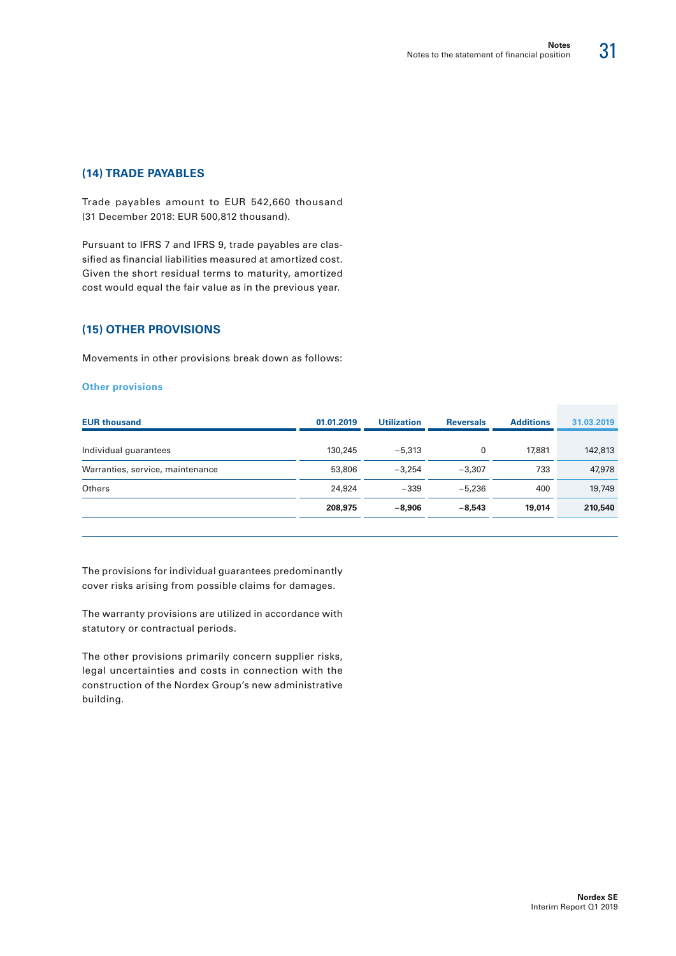#### **(14) TRADE PAYABLES**

Trade payables amount to EUR 542,660 thousand (31 December 2018: EUR 500,812 thousand).

Pursuant to IFRS 7 and IFRS 9, trade payables are classified as financial liabilities measured at amortized cost. Given the short residual terms to maturity, amortized cost would equal the fair value as in the previous year.

#### **(15) OTHER PROVISIONS**

Movements in other provisions break down as follows:

#### **Other provisions**

| <b>EUR thousand</b>              | 01.01.2019 | <b>Utilization</b> | <b>Reversals</b> | <b>Additions</b> | 31.03.2019 |
|----------------------------------|------------|--------------------|------------------|------------------|------------|
|                                  |            |                    |                  |                  |            |
| Individual guarantees            | 130,245    | $-5.313$           | 0                | 17,881           | 142,813    |
| Warranties, service, maintenance | 53,806     | $-3.254$           | $-3.307$         | 733              | 47,978     |
| Others                           | 24,924     | $-339$             | $-5.236$         | 400              | 19,749     |
|                                  | 208,975    | $-8.906$           | $-8.543$         | 19,014           | 210,540    |
|                                  |            |                    |                  |                  |            |

The provisions for individual guarantees predominantly cover risks arising from possible claims for damages.

The warranty provisions are utilized in accordance with statutory or contractual periods.

The other provisions primarily concern supplier risks, legal uncertainties and costs in connection with the construction of the Nordex Group's new administrative building.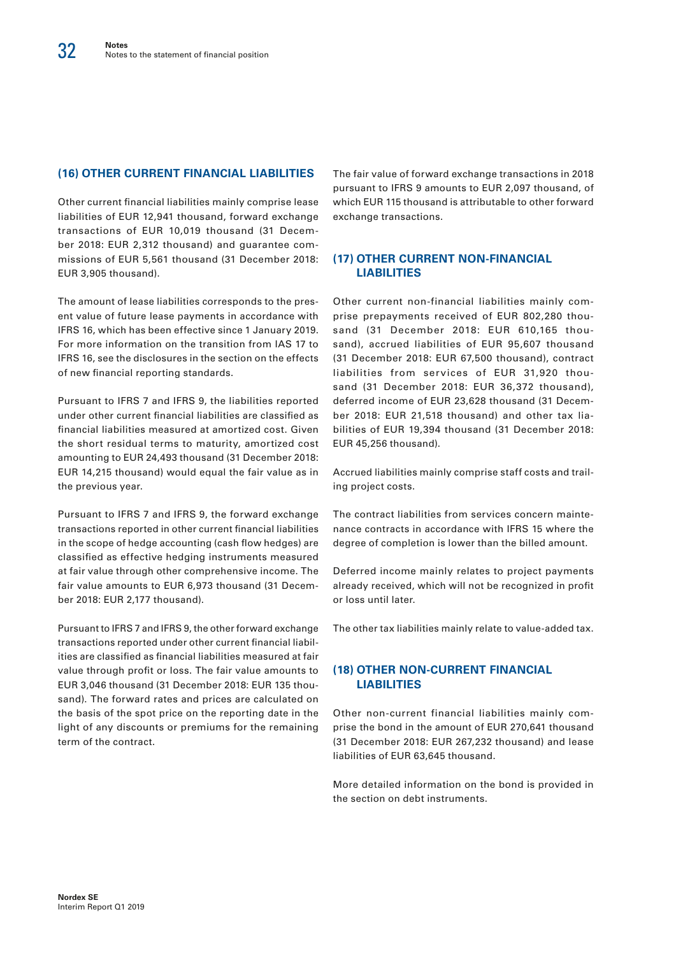#### **(16) OTHER CURRENT FINANCIAL LIABILITIES**

Other current financial liabilities mainly comprise lease liabilities of EUR 12,941 thousand, forward exchange transactions of EUR 10,019 thousand (31 December 2018: EUR 2,312 thousand) and guarantee commissions of EUR 5,561 thousand (31 December 2018: EUR 3,905 thousand).

The amount of lease liabilities corresponds to the present value of future lease payments in accordance with IFRS 16, which has been effective since 1 January 2019. For more information on the transition from IAS 17 to IFRS 16, see the disclosures in the section on the effects of new financial reporting standards.

Pursuant to IFRS 7 and IFRS 9, the liabilities reported under other current financial liabilities are classified as financial liabilities measured at amortized cost. Given the short residual terms to maturity, amortized cost amounting to EUR 24,493 thousand (31 December 2018: EUR 14,215 thousand) would equal the fair value as in the previous year.

Pursuant to IFRS 7 and IFRS 9, the forward exchange transactions reported in other current financial liabilities in the scope of hedge accounting (cash flow hedges) are classified as effective hedging instruments measured at fair value through other comprehensive income. The fair value amounts to EUR 6,973 thousand (31 December 2018: EUR 2,177 thousand).

Pursuant to IFRS 7 and IFRS 9, the other forward exchange transactions reported under other current financial liabilities are classified as financial liabilities measured at fair value through profit or loss. The fair value amounts to EUR 3,046 thousand (31 December 2018: EUR 135 thousand). The forward rates and prices are calculated on the basis of the spot price on the reporting date in the light of any discounts or premiums for the remaining term of the contract.

The fair value of forward exchange transactions in 2018 pursuant to IFRS 9 amounts to EUR 2,097 thousand, of which EUR 115 thousand is attributable to other forward exchange transactions.

#### **(17) OTHER CURRENT NON-FINANCIAL LIABILITIES**

Other current non-financial liabilities mainly comprise prepayments received of EUR 802,280 thousand (31 December 2018: EUR 610,165 thousand), accrued liabilities of EUR 95,607 thousand (31 December 2018: EUR 67,500 thousand), contract liabilities from services of EUR 31,920 thousand (31 December 2018: EUR 36,372 thousand), deferred income of EUR 23,628 thousand (31 December 2018: EUR 21,518 thousand) and other tax liabilities of EUR 19,394 thousand (31 December 2018: EUR 45,256 thousand).

Accrued liabilities mainly comprise staff costs and trailing project costs.

The contract liabilities from services concern maintenance contracts in accordance with IFRS 15 where the degree of completion is lower than the billed amount.

Deferred income mainly relates to project payments already received, which will not be recognized in profit or loss until later.

The other tax liabilities mainly relate to value-added tax.

#### **(18) OTHER NON-CURRENT FINANCIAL LIABILITIES**

Other non-current financial liabilities mainly comprise the bond in the amount of EUR 270,641 thousand (31 December 2018: EUR 267,232 thousand) and lease liabilities of EUR 63,645 thousand.

More detailed information on the bond is provided in the section on debt instruments.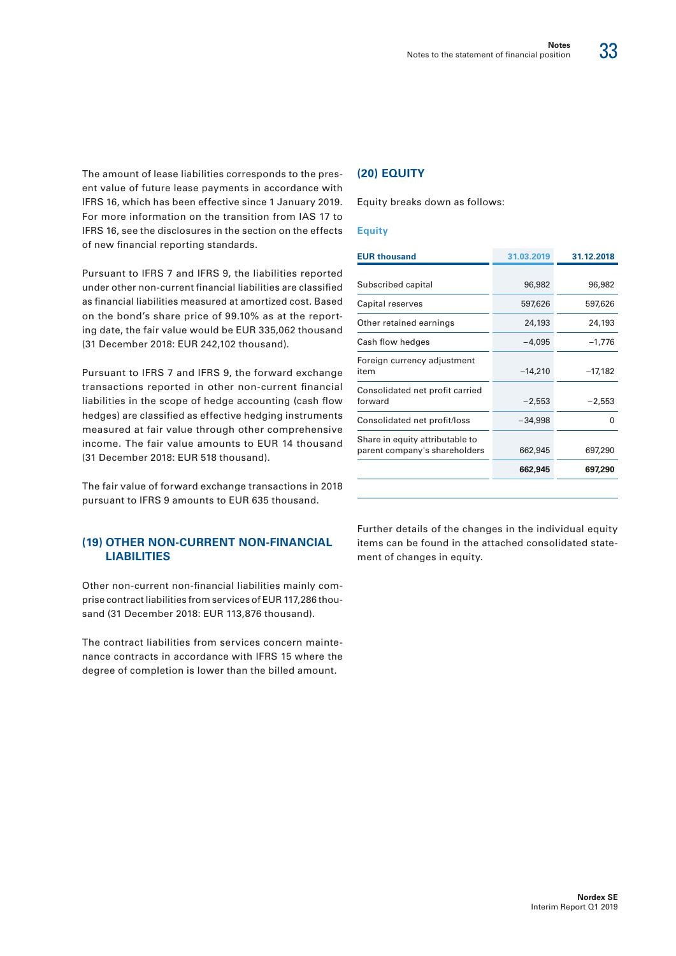

The amount of lease liabilities corresponds to the present value of future lease payments in accordance with IFRS 16, which has been effective since 1 January 2019. For more information on the transition from IAS 17 to IFRS 16, see the disclosures in the section on the effects of new financial reporting standards.

Pursuant to IFRS 7 and IFRS 9, the liabilities reported under other non-current financial liabilities are classified as financial liabilities measured at amortized cost. Based on the bond's share price of 99.10% as at the reporting date, the fair value would be EUR 335,062 thousand (31 December 2018: EUR 242,102 thousand).

Pursuant to IFRS 7 and IFRS 9, the forward exchange transactions reported in other non-current financial liabilities in the scope of hedge accounting (cash flow hedges) are classified as effective hedging instruments measured at fair value through other comprehensive income. The fair value amounts to EUR 14 thousand (31 December 2018: EUR 518 thousand).

The fair value of forward exchange transactions in 2018 pursuant to IFRS 9 amounts to EUR 635 thousand.

#### **(19) OTHER NON-CURRENT NON-FINANCIAL LIABILITIES**

Other non-current non-financial liabilities mainly comprise contract liabilities from services of EUR 117,286 thousand (31 December 2018: EUR 113,876 thousand).

The contract liabilities from services concern maintenance contracts in accordance with IFRS 15 where the degree of completion is lower than the billed amount.

#### **(20) EQUITY**

Equity breaks down as follows:

#### **Equity**

| <b>EUR thousand</b>                                              | 31.03.2019 | 31.12.2018 |
|------------------------------------------------------------------|------------|------------|
|                                                                  |            |            |
| Subscribed capital                                               | 96,982     | 96,982     |
| Capital reserves                                                 | 597,626    | 597,626    |
| Other retained earnings                                          | 24,193     | 24,193     |
| Cash flow hedges                                                 | $-4,095$   | $-1,776$   |
| Foreign currency adjustment<br>item                              | $-14,210$  | $-17,182$  |
| Consolidated net profit carried<br>forward                       | $-2,553$   | $-2,553$   |
| Consolidated net profit/loss                                     | $-34,998$  | O          |
| Share in equity attributable to<br>parent company's shareholders | 662,945    | 697,290    |
|                                                                  | 662,945    | 697,290    |
|                                                                  |            |            |

Further details of the changes in the individual equity items can be found in the attached consolidated statement of changes in equity.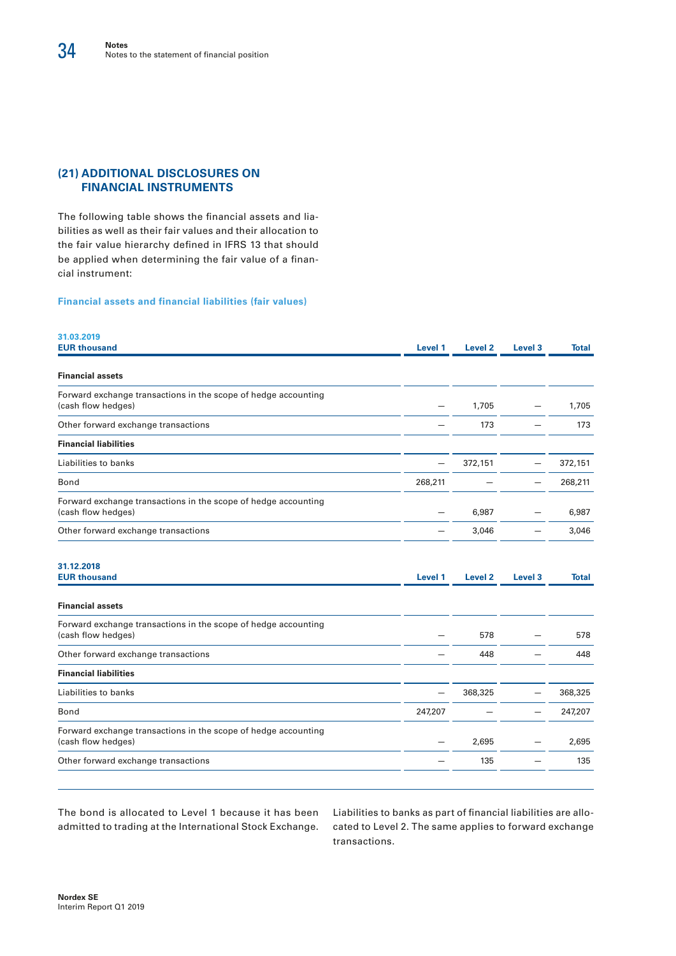#### **(21) ADDITIONAL DISCLOSURES ON FINANCIAL INSTRUMENTS**

The following table shows the financial assets and liabilities as well as their fair values and their allocation to the fair value hierarchy defined in IFRS 13 that should be applied when determining the fair value of a financial instrument:

#### **Financial assets and financial liabilities (fair values)**

| 31.03.2019<br><b>EUR thousand</b>                                                    | Level 1 | Level <sub>2</sub> | Level <sub>3</sub> | Total        |
|--------------------------------------------------------------------------------------|---------|--------------------|--------------------|--------------|
| <b>Financial assets</b>                                                              |         |                    |                    |              |
| Forward exchange transactions in the scope of hedge accounting<br>(cash flow hedges) |         | 1,705              |                    | 1,705        |
| Other forward exchange transactions                                                  |         | 173                |                    | 173          |
| <b>Financial liabilities</b>                                                         |         |                    |                    |              |
| Liabilities to banks                                                                 |         | 372,151            |                    | 372,151      |
| Bond                                                                                 | 268,211 |                    |                    | 268,211      |
| Forward exchange transactions in the scope of hedge accounting<br>(cash flow hedges) |         | 6,987              |                    | 6,987        |
| Other forward exchange transactions                                                  |         | 3,046              |                    | 3,046        |
| 31.12.2018<br><b>EUR thousand</b><br><b>Financial assets</b>                         | Level 1 | Level <sub>2</sub> | Level <sub>3</sub> | <b>Total</b> |
| Forward exchange transactions in the scope of hedge accounting<br>(cash flow hedges) |         | 578                |                    | 578          |
| Other forward exchange transactions                                                  |         | 448                |                    | 448          |
| <b>Financial liabilities</b>                                                         |         |                    |                    |              |
| Liabilities to banks                                                                 |         | 368,325            |                    | 368,325      |
| Bond                                                                                 | 247,207 |                    |                    | 247,207      |
| Forward exchange transactions in the scope of hedge accounting<br>(cash flow hedges) |         | 2,695              |                    | 2,695        |
|                                                                                      |         | 135                |                    | 135          |

The bond is allocated to Level 1 because it has been admitted to trading at the International Stock Exchange. Liabilities to banks as part of financial liabilities are allocated to Level 2. The same applies to forward exchange transactions.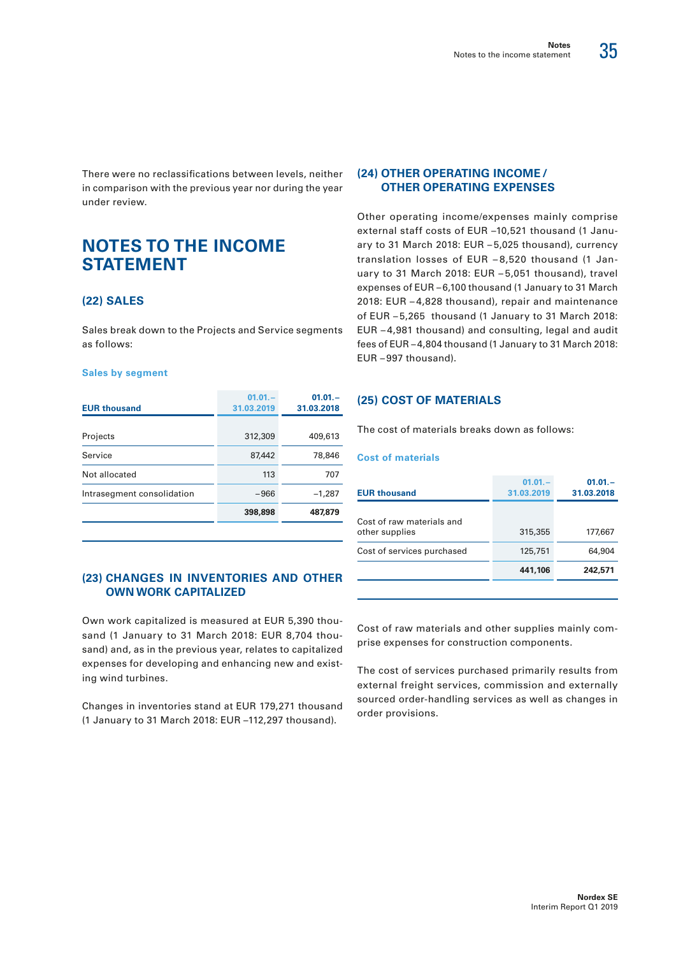35

There were no reclassifications between levels, neither in comparison with the previous year nor during the year under review.

## **NOTES TO THE INCOME STATEMENT**

#### **(22) SALES**

Sales break down to the Projects and Service segments as follows:

#### **Sales by segment**

| <b>EUR thousand</b>        | $01.01 -$<br>31.03.2019 | $01.01 -$<br>31.03.2018 |
|----------------------------|-------------------------|-------------------------|
| Projects                   | 312,309                 | 409,613                 |
| Service                    | 87,442                  | 78,846                  |
| Not allocated              | 113                     | 707                     |
| Intrasegment consolidation | $-966$                  | $-1.287$                |
|                            | 398,898                 | 487.879                 |

#### **(23) CHANGES IN INVENTORIES AND OTHER OWN WORK CAPITALIZED**

Own work capitalized is measured at EUR 5,390 thousand (1 January to 31 March 2018: EUR 8,704 thousand) and, as in the previous year, relates to capitalized expenses for developing and enhancing new and existing wind turbines.

Changes in inventories stand at EUR 179,271 thousand (1 January to 31 March 2018: EUR –112,297 thousand).

#### **(24) OTHER OPERATING INCOME / OTHER OPERATING EXPENSES**

Other operating income/expenses mainly comprise external staff costs of EUR –10,521 thousand (1 January to 31 March 2018: EUR – 5,025 thousand), currency translation losses of EUR – 8,520 thousand (1 January to 31 March 2018: EUR – 5,051 thousand), travel expenses of EUR –6,100 thousand (1 January to 31 March 2018: EUR – 4,828 thousand), repair and maintenance of EUR – 5,265 thousand (1 January to 31 March 2018: EUR – 4,981 thousand) and consulting, legal and audit fees of EUR –4,804 thousand (1 January to 31 March 2018: EUR – 997 thousand).

#### **(25) COST OF MATERIALS**

The cost of materials breaks down as follows:

#### **Cost of materials**

| <b>EUR thousand</b>                         | $01.01 -$<br>31.03.2019 | $01.01 -$<br>31.03.2018 |
|---------------------------------------------|-------------------------|-------------------------|
| Cost of raw materials and<br>other supplies | 315,355                 | 177,667                 |
| Cost of services purchased                  | 125,751                 | 64,904                  |
|                                             | 441,106                 | 242,571                 |
|                                             |                         |                         |

Cost of raw materials and other supplies mainly comprise expenses for construction components.

The cost of services purchased primarily results from external freight services, commission and externally sourced order-handling services as well as changes in order provisions.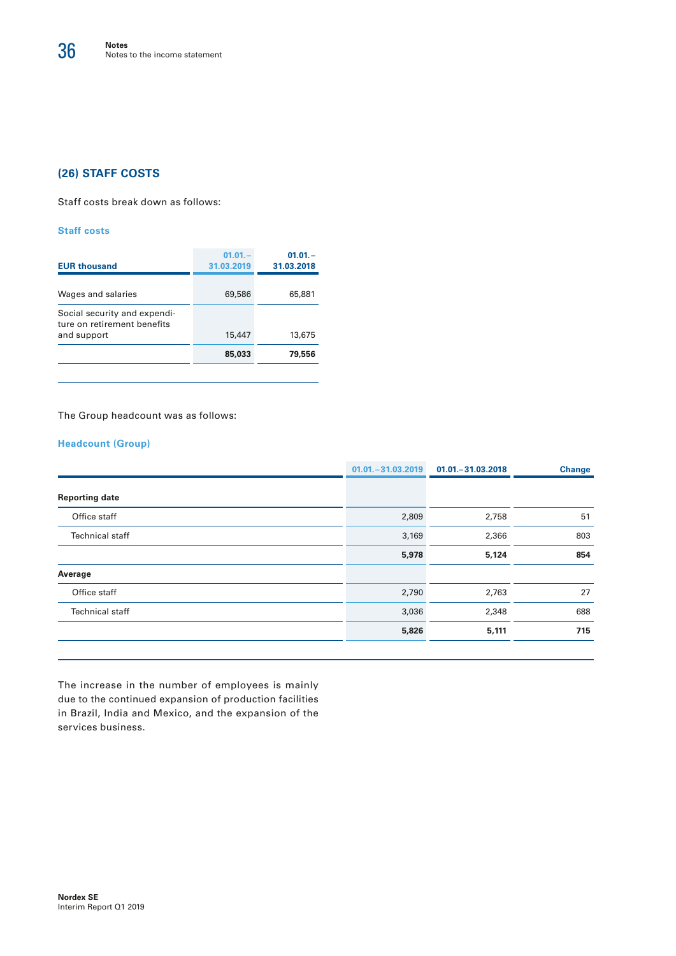#### **(26) STAFF COSTS**

Staff costs break down as follows:

#### **Staff costs**

| <b>EUR thousand</b>                                         | $01.01 -$<br>31.03.2019 | $01.01 -$<br>31.03.2018 |
|-------------------------------------------------------------|-------------------------|-------------------------|
| Wages and salaries                                          | 69,586                  | 65,881                  |
| Social security and expendi-<br>ture on retirement benefits |                         |                         |
| and support                                                 | 15,447                  | 13,675                  |
|                                                             | 85,033                  | 79,556                  |
|                                                             |                         |                         |

The Group headcount was as follows:

#### **Headcount (Group)**

|                        | $01.01 - 31.03.2019$ | 01.01. - 31.03.2018 | <b>Change</b> |
|------------------------|----------------------|---------------------|---------------|
| <b>Reporting date</b>  |                      |                     |               |
| Office staff           | 2,809                | 2,758               | 51            |
| <b>Technical staff</b> | 3,169                | 2,366               | 803           |
|                        | 5,978                | 5,124               | 854           |
| Average                |                      |                     |               |
| Office staff           | 2,790                | 2,763               | 27            |
| <b>Technical staff</b> | 3,036                | 2,348               | 688           |
|                        | 5,826                | 5,111               | 715           |
|                        |                      |                     |               |

The increase in the number of employees is mainly due to the continued expansion of production facilities in Brazil, India and Mexico, and the expansion of the services business.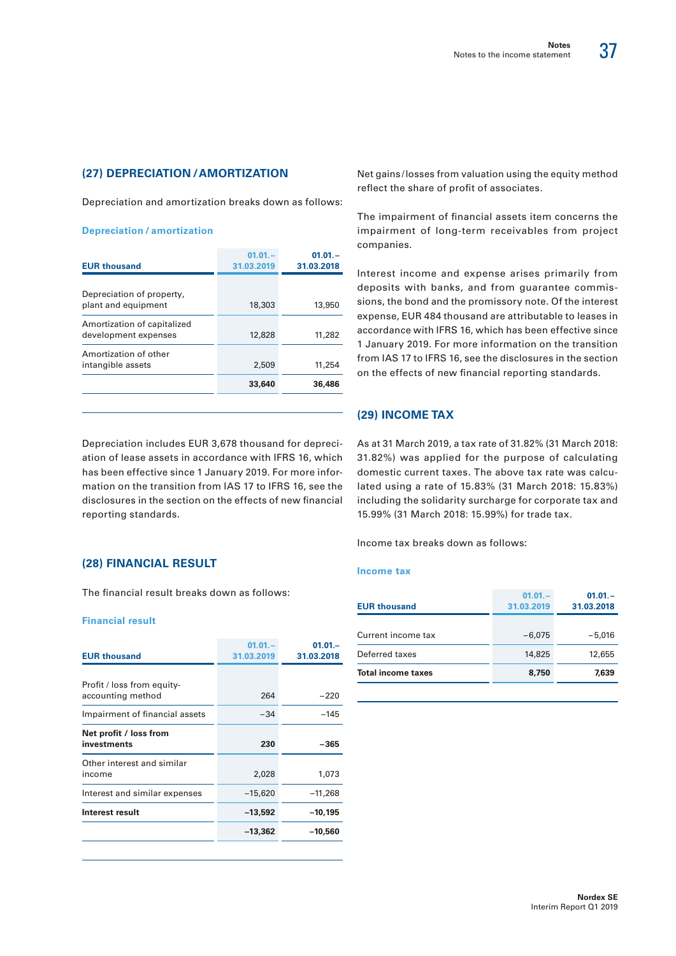37

#### **(27) DEPRECIATION /AMORTIZATION**

Depreciation and amortization breaks down as follows:

#### **Depreciation / amortization**

| <b>EUR thousand</b>                                 | $01.01 -$<br>31.03.2019 | $01.01 -$<br>31.03.2018 |
|-----------------------------------------------------|-------------------------|-------------------------|
| Depreciation of property,<br>plant and equipment    | 18,303                  | 13,950                  |
| Amortization of capitalized<br>development expenses | 12,828                  | 11,282                  |
| Amortization of other<br>intangible assets          | 2,509                   | 11,254                  |
|                                                     | 33,640                  | 36,486                  |

Depreciation includes EUR 3,678 thousand for depreciation of lease assets in accordance with IFRS 16, which has been effective since 1 January 2019. For more information on the transition from IAS 17 to IFRS 16, see the disclosures in the section on the effects of new financial reporting standards.

#### **(28) FINANCIAL RESULT**

The financial result breaks down as follows:

#### **Financial result**

| <b>EUR thousand</b>                             | $01.01 -$<br>31.03.2019 | $01.01 -$<br>31.03.2018 |
|-------------------------------------------------|-------------------------|-------------------------|
| Profit / loss from equity-<br>accounting method | 264                     | $-220$                  |
| Impairment of financial assets                  | $-34$                   | -145                    |
| Net profit / loss from<br>investments           | 230                     | -365                    |
| Other interest and similar<br>income            | 2,028                   | 1,073                   |
| Interest and similar expenses                   | $-15,620$               | $-11,268$               |
| Interest result                                 | $-13,592$               | $-10,195$               |
|                                                 | $-13,362$               | $-10,560$               |

Net gains /losses from valuation using the equity method reflect the share of profit of associates.

The impairment of financial assets item concerns the impairment of long-term receivables from project companies.

Interest income and expense arises primarily from deposits with banks, and from guarantee commissions, the bond and the promissory note. Of the interest expense, EUR 484 thousand are attributable to leases in accordance with IFRS 16, which has been effective since 1 January 2019. For more information on the transition from IAS 17 to IFRS 16, see the disclosures in the section on the effects of new financial reporting standards.

#### **(29) INCOME TAX**

As at 31 March 2019, a tax rate of 31.82% (31 March 2018: 31.82%) was applied for the purpose of calculating domestic current taxes. The above tax rate was calculated using a rate of 15.83% (31 March 2018: 15.83%) including the solidarity surcharge for corporate tax and 15.99% (31 March 2018: 15.99%) for trade tax.

Income tax breaks down as follows:

#### **Income tax**

| <b>EUR thousand</b>       | $01.01 -$<br>31.03.2019 | $01.01 -$<br>31.03.2018 |
|---------------------------|-------------------------|-------------------------|
| Current income tax        | $-6,075$                | $-5.016$                |
| Deferred taxes            | 14,825                  | 12,655                  |
| <b>Total income taxes</b> | 8,750                   | 7,639                   |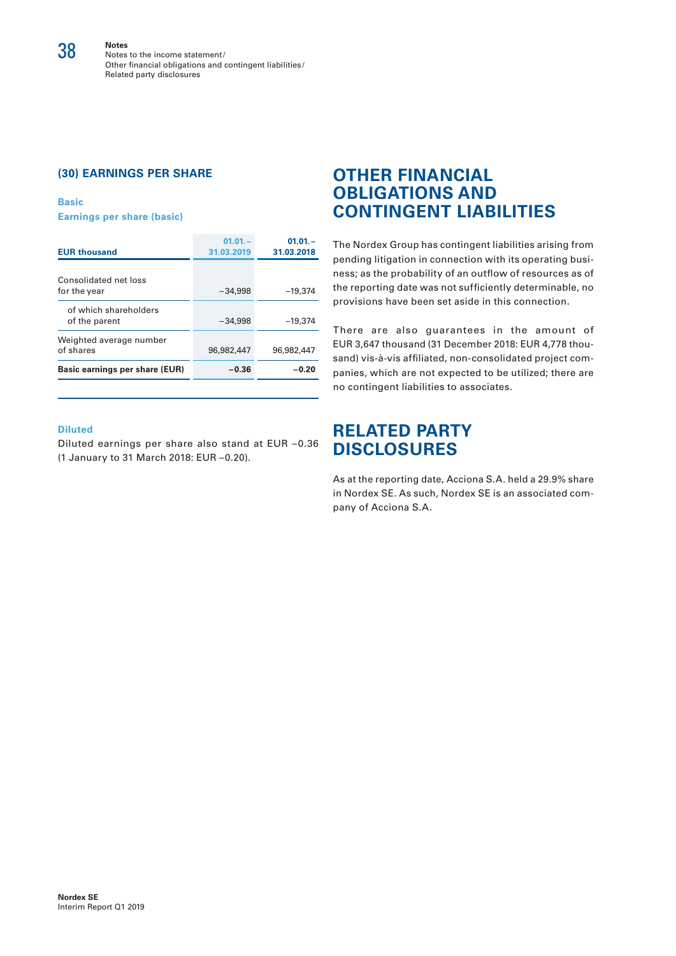**Notes** Notes to the income statement/ Other financial obligations and contingent liabilities / Related party disclosures

#### **(30) EARNINGS PER SHARE**

**Basic Earnings per share (basic)**

| <b>EUR thousand</b>                    | $01.01 -$<br>31.03.2019 | $01.01 -$<br>31.03.2018 |
|----------------------------------------|-------------------------|-------------------------|
| Consolidated net loss<br>for the year  | $-34,998$               | $-19.374$               |
| of which shareholders<br>of the parent | $-34.998$               | $-19,374$               |
| Weighted average number<br>of shares   | 96.982.447              | 96,982,447              |
| Basic earnings per share (EUR)         | $-0.36$                 | -0.20                   |

#### **Diluted**

Diluted earnings per share also stand at EUR –0.36 (1 January to 31 March 2018: EUR –0.20).

## **OTHER FINANCIAL OBLIGATIONS AND CONTINGENT LIABILITIES**

The Nordex Group has contingent liabilities arising from pending litigation in connection with its operating business; as the probability of an outflow of resources as of the reporting date was not sufficiently determinable, no provisions have been set aside in this connection.

There are also guarantees in the amount of EUR 3,647 thousand (31 December 2018: EUR 4,778 thousand) vis-à-vis affiliated, non-consolidated project companies, which are not expected to be utilized; there are no contingent liabilities to associates.

## **RELATED PARTY DISCLOSURES**

As at the reporting date, Acciona S.A. held a 29.9% share in Nordex SE. As such, Nordex SE is an associated company of Acciona S.A.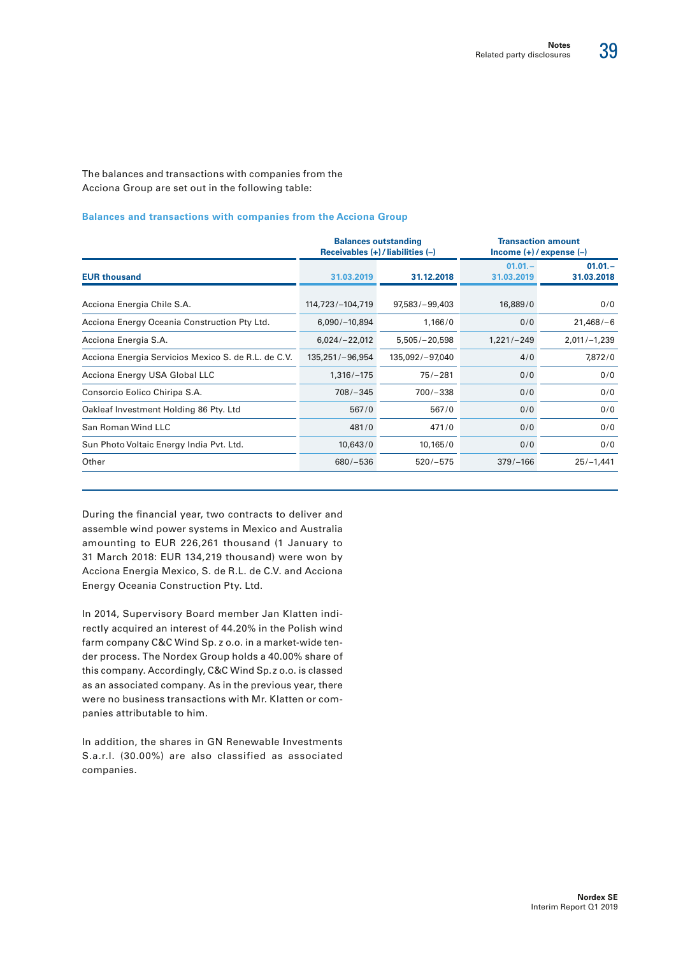The balances and transactions with companies from the Acciona Group are set out in the following table:

#### **Balances and transactions with companies from the Acciona Group**

|                                                     | Receivables $(+)$ / liabilities $(-)$ | <b>Balances outstanding</b> | <b>Transaction amount</b><br>$lncome (+)/expense (-)$ |                         |  |
|-----------------------------------------------------|---------------------------------------|-----------------------------|-------------------------------------------------------|-------------------------|--|
| <b>EUR thousand</b>                                 | 31.03.2019                            | 31.12.2018                  | $01.01 -$<br>31.03.2019                               | $01.01 -$<br>31.03.2018 |  |
| Acciona Energia Chile S.A.                          | 114,723/-104,719                      | $97,583/-99,403$            | 16,889/0                                              | 0/0                     |  |
| Acciona Energy Oceania Construction Pty Ltd.        | $6,090/-10,894$                       | 1,166/0                     | 0/0                                                   | $21,468/-6$             |  |
| Acciona Energia S.A.                                | $6,024/-22,012$                       | $5,505/-20,598$             | $1,221/ - 249$                                        | $2,011/-1,239$          |  |
| Acciona Energia Servicios Mexico S. de R.L. de C.V. | 135,251/-96,954                       | 135,092/-97,040             | 4/0                                                   | 7,872/0                 |  |
| Acciona Energy USA Global LLC                       | $1,316/-175$                          | $75/-281$                   | 0/0                                                   | 0/0                     |  |
| Consorcio Eolico Chiripa S.A.                       | $708/-345$                            | $700/-338$                  | 0/0                                                   | 0/0                     |  |
| Oakleaf Investment Holding 86 Pty. Ltd              | 567/0                                 | 567/0                       | 0/0                                                   | 0/0                     |  |
| San Roman Wind LLC                                  | 481/0                                 | 471/0                       | 0/0                                                   | 0/0                     |  |
| Sun Photo Voltaic Energy India Pvt. Ltd.            | 10,643/0                              | 10,165/0                    | 0/0                                                   | 0/0                     |  |
| Other                                               | $680/-536$                            | $520/-575$                  | $379/-166$                                            | $25/-1,441$             |  |

During the financial year, two contracts to deliver and assemble wind power systems in Mexico and Australia amounting to EUR 226,261 thousand (1 January to 31 March 2018: EUR 134,219 thousand) were won by Acciona Energia Mexico, S. de R.L. de C.V. and Acciona Energy Oceania Construction Pty. Ltd.

In 2014, Supervisory Board member Jan Klatten indirectly acquired an interest of 44.20% in the Polish wind farm company C&C Wind Sp. z o.o. in a market-wide tender process. The Nordex Group holds a 40.00% share of this company. Accordingly, C&C Wind Sp. z o.o. is classed as an associated company. As in the previous year, there were no business transactions with Mr. Klatten or companies attributable to him.

In addition, the shares in GN Renewable Investments S.a.r.l. (30.00%) are also classified as associated companies.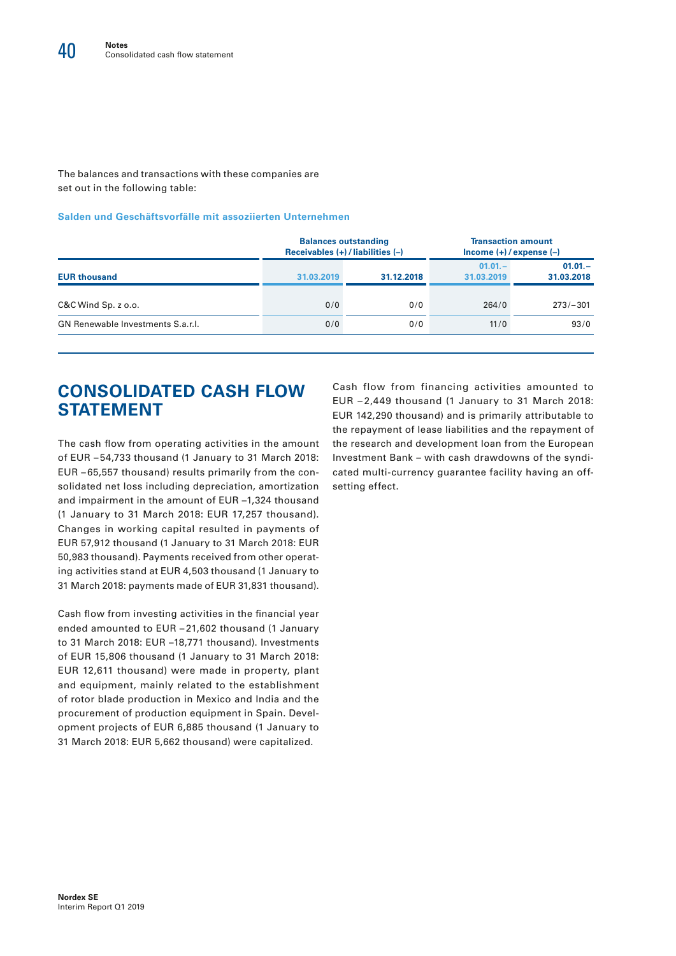The balances and transactions with these companies are set out in the following table:

#### **Salden und Geschäftsvorfälle mit assoziierten Unternehmen**

|                                   |            | <b>Balances outstanding</b><br>Receivables $(+)$ / liabilities $(-)$ | <b>Transaction amount</b><br>$lncome (+)/expense (-)$ |                         |  |  |
|-----------------------------------|------------|----------------------------------------------------------------------|-------------------------------------------------------|-------------------------|--|--|
| <b>EUR thousand</b>               | 31.03.2019 | 31.12.2018                                                           | $01.01 -$<br>31.03.2019                               | $01.01 -$<br>31.03.2018 |  |  |
| $C&C$ Wind $Sp. z 0.0$ .          | 0/0        | 0/0                                                                  | 264/0                                                 | $273/-301$              |  |  |
| GN Renewable Investments S.a.r.l. | 0/0        | 0/0                                                                  | 11/0                                                  | 93/0                    |  |  |
|                                   |            |                                                                      |                                                       |                         |  |  |

# **CONSOLIDATED CASH FLOW STATEMENT**

The cash flow from operating activities in the amount of EUR – 54,733 thousand (1 January to 31 March 2018: EUR – 65,557 thousand) results primarily from the consolidated net loss including depreciation, amortization and impairment in the amount of EUR –1,324 thousand (1 January to 31 March 2018: EUR 17,257 thousand). Changes in working capital resulted in payments of EUR 57,912 thousand (1 January to 31 March 2018: EUR 50,983 thousand). Payments received from other operating activities stand at EUR 4,503 thousand (1 January to 31 March 2018: payments made of EUR 31,831 thousand).

Cash flow from investing activities in the financial year ended amounted to EUR – 21,602 thousand (1 January to 31 March 2018: EUR –18,771 thousand). Investments of EUR 15,806 thousand (1 January to 31 March 2018: EUR 12,611 thousand) were made in property, plant and equipment, mainly related to the establishment of rotor blade production in Mexico and India and the procurement of production equipment in Spain. Development projects of EUR 6,885 thousand (1 January to 31 March 2018: EUR 5,662 thousand) were capitalized.

Cash flow from financing activities amounted to EUR – 2,449 thousand (1 January to 31 March 2018: EUR 142,290 thousand) and is primarily attributable to the repayment of lease liabilities and the repayment of the research and development loan from the European Investment Bank – with cash drawdowns of the syndicated multi-currency guarantee facility having an offsetting effect.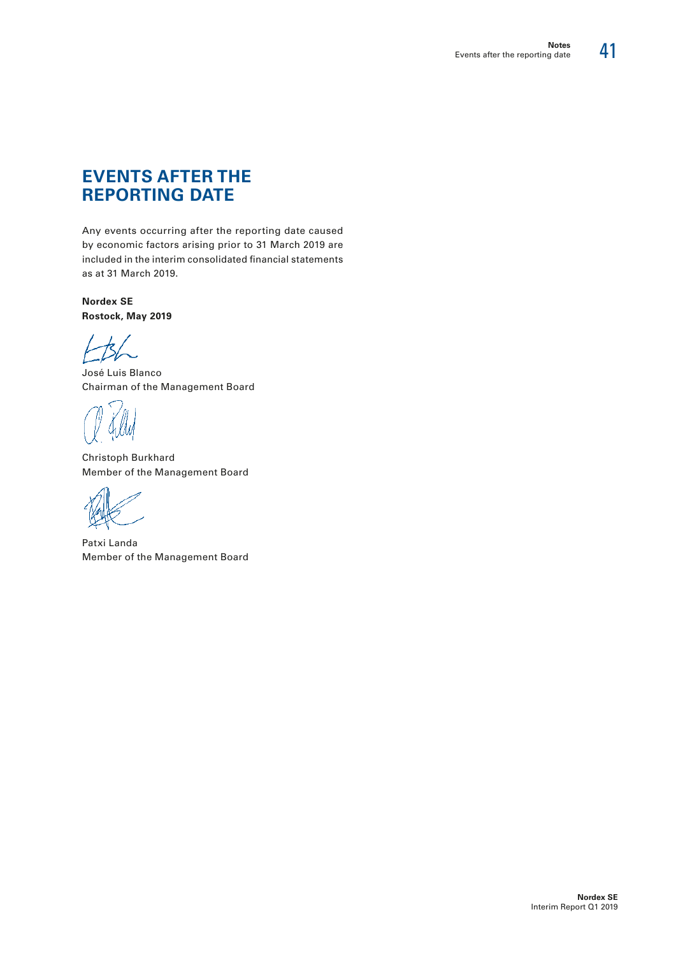## **EVENTS AFTER THE REPORTING DATE**

Any events occurring after the reporting date caused by economic factors arising prior to 31 March 2019 are included in the interim consolidated financial statements as at 31 March 2019.

**Nordex SE Rostock, May 2019**

José Luis Blanco Chairman of the Management Board

Christoph Burkhard Member of the Management Board

Patxi Landa Member of the Management Board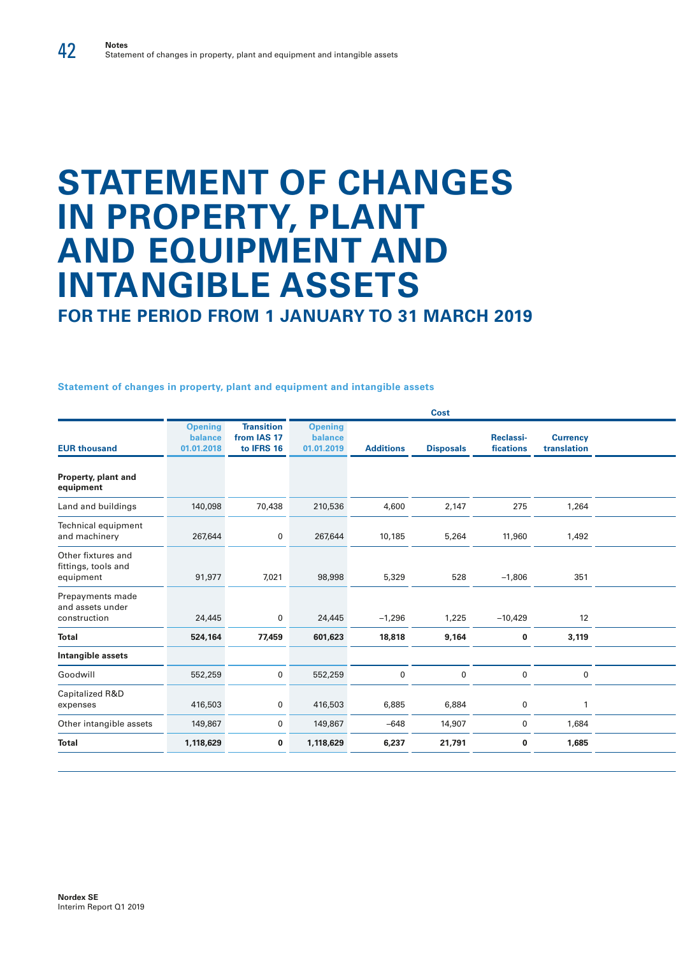# **STATEMENT OF CHANGES IN PROPERTY, PLANT AND EQUIPMENT AND INTANGIBLE ASSETS**

**FOR THE PERIOD FROM 1 JANUARY TO 31 MARCH 2019**

**Statement of changes in property, plant and equipment and intangible assets**

|                                         |                                                |                                         |                  | Cost             |                               |                                |  |
|-----------------------------------------|------------------------------------------------|-----------------------------------------|------------------|------------------|-------------------------------|--------------------------------|--|
| <b>Opening</b><br>balance<br>01.01.2018 | <b>Transition</b><br>from IAS 17<br>to IFRS 16 | <b>Opening</b><br>balance<br>01.01.2019 | <b>Additions</b> | <b>Disposals</b> | <b>Reclassi-</b><br>fications | <b>Currency</b><br>translation |  |
|                                         |                                                |                                         |                  |                  |                               |                                |  |
| 140,098                                 | 70,438                                         | 210,536                                 | 4,600            | 2,147            | 275                           | 1,264                          |  |
| 267,644                                 | $\mathbf 0$                                    | 267,644                                 | 10,185           | 5,264            | 11,960                        | 1,492                          |  |
| 91,977                                  | 7,021                                          | 98,998                                  | 5,329            | 528              | $-1,806$                      | 351                            |  |
| 24,445                                  | $\overline{0}$                                 | 24,445                                  | $-1,296$         | 1,225            | $-10,429$                     | 12                             |  |
| 524,164                                 | 77,459                                         | 601,623                                 | 18,818           | 9,164            | $\mathbf 0$                   | 3,119                          |  |
|                                         |                                                |                                         |                  |                  |                               |                                |  |
| 552,259                                 | $\overline{0}$                                 | 552,259                                 | $\mathbf 0$      | $\overline{0}$   | $\mathbf 0$                   | $\mathbf 0$                    |  |
| 416,503                                 | $\overline{0}$                                 | 416,503                                 | 6,885            | 6,884            | $\mathbf 0$                   |                                |  |
| 149,867                                 | $\overline{0}$                                 | 149,867                                 | $-648$           | 14,907           | $\mathbf 0$                   | 1,684                          |  |
| 1,118,629                               | $\mathbf 0$                                    | 1,118,629                               | 6,237            | 21,791           | $\mathbf 0$                   | 1,685                          |  |
|                                         |                                                |                                         |                  |                  |                               |                                |  |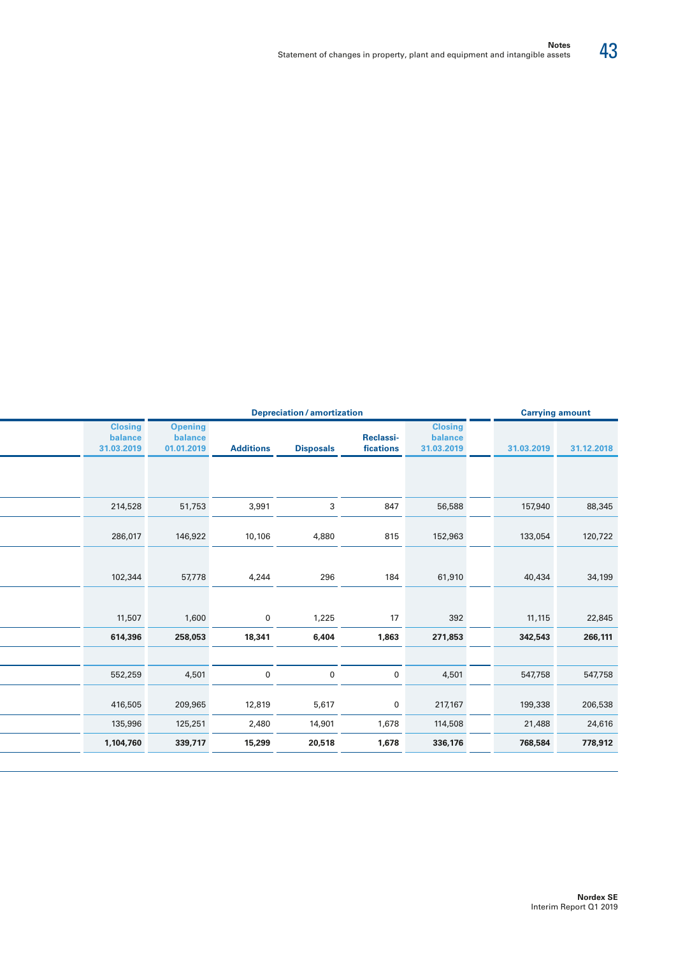| <b>Carrying amount</b> |            | <b>Depreciation / amortization</b>      |                        |                  |                  |                                         |                                         |  |
|------------------------|------------|-----------------------------------------|------------------------|------------------|------------------|-----------------------------------------|-----------------------------------------|--|
| 31.12.2018             | 31.03.2019 | <b>Closing</b><br>balance<br>31.03.2019 | Reclassi-<br>fications | <b>Disposals</b> | <b>Additions</b> | <b>Opening</b><br>balance<br>01.01.2019 | <b>Closing</b><br>balance<br>31.03.2019 |  |
|                        |            |                                         |                        |                  |                  |                                         |                                         |  |
| 88,345                 | 157,940    | 56,588                                  | 847                    | 3                | 3,991            | 51,753                                  | 214,528                                 |  |
| 120,722                | 133,054    | 152,963                                 | 815                    | 4,880            | 10,106           | 146,922                                 | 286,017                                 |  |
| 34,199                 | 40,434     | 61,910                                  | 184                    | 296              | 4,244            | 57,778                                  | 102,344                                 |  |
|                        |            |                                         |                        |                  |                  |                                         |                                         |  |
| 22,845                 | 11,115     | 392                                     | 17                     | 1,225            | $\mathbf 0$      | 1,600                                   | 11,507                                  |  |
| 266,111                | 342,543    | 271,853                                 | 1,863                  | 6,404            | 18,341           | 258,053                                 | 614,396                                 |  |
|                        |            |                                         |                        |                  |                  |                                         |                                         |  |
| 547,758                | 547,758    | 4,501                                   | $\mathbf 0$            | $\mathbf 0$      | $\mathbf 0$      | 4,501                                   | 552,259                                 |  |
| 206,538                | 199,338    | 217,167                                 | $\mathbf 0$            | 5,617            | 12,819           | 209,965                                 | 416,505                                 |  |
| 24,616                 | 21,488     | 114,508                                 | 1,678                  | 14,901           | 2,480            | 125,251                                 | 135,996                                 |  |
| 778,912                | 768,584    | 336,176                                 | 1,678                  | 20,518           | 15,299           | 339,717                                 | 1,104,760                               |  |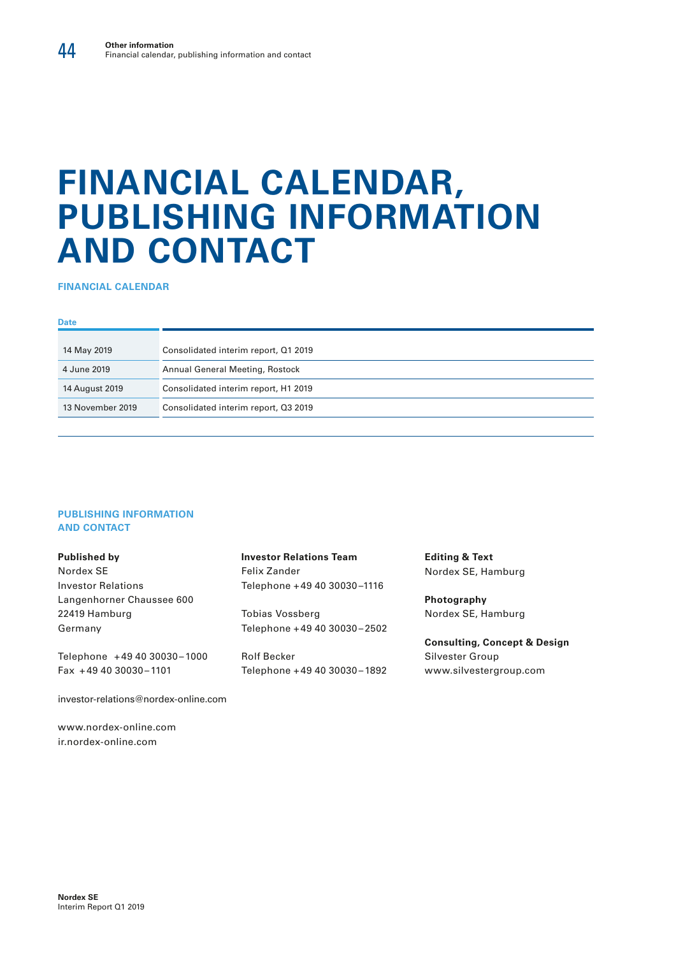# **FINANCIAL CALENDAR, PUBLISHING INFORMATION AND CONTACT**

**FINANCIAL CALENDAR**

#### **Date**

| 14 May 2019      | Consolidated interim report, Q1 2019 |
|------------------|--------------------------------------|
| 4 June 2019      | Annual General Meeting, Rostock      |
| 14 August 2019   | Consolidated interim report, H1 2019 |
| 13 November 2019 | Consolidated interim report, Q3 2019 |

#### **PUBLISHING INFORMATION AND CONTACT**

### **Published by**

Nordex SE Investor Relations Langenhorner Chaussee 600 22419 Hamburg Germany

Telephone +49 40 30030 – 1000 Fax +49 40 30030 – 1101

investor-relations@nordex-online.com

www.nordex-online.com ir.nordex-online.com

**Investor Relations Team** Felix Zander Telephone +49 40 30030 –1116

Tobias Vossberg Telephone +49 40 30030 – 2502

Rolf Becker Telephone +49 40 30030 – 1892 **Editing & Text** Nordex SE, Hamburg

**Photography**  Nordex SE, Hamburg

**Consulting, Concept & Design** Silvester Group www.silvestergroup.com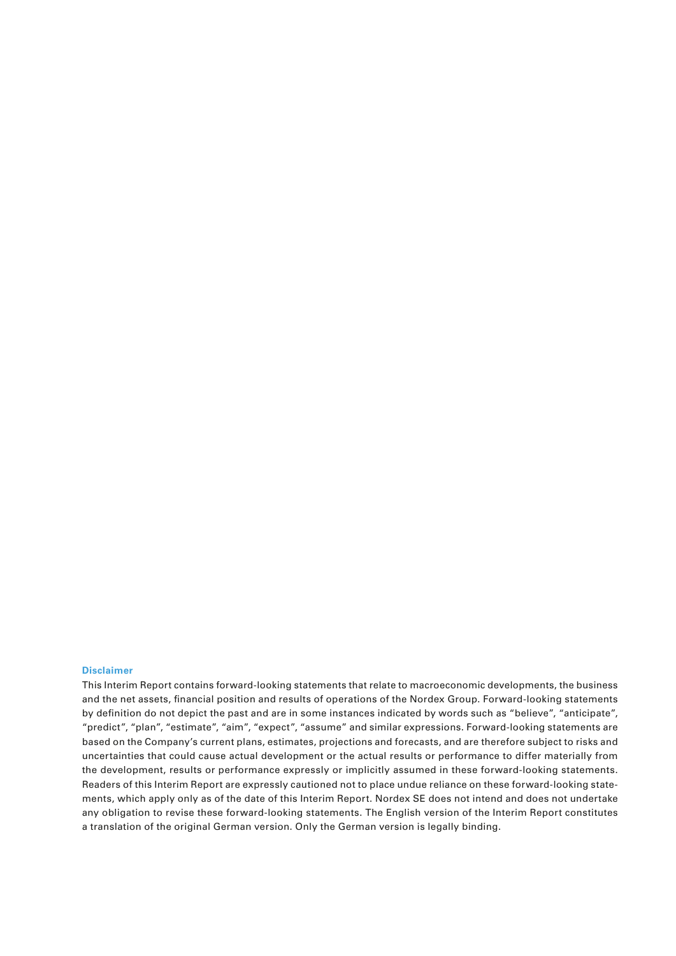#### **Disclaimer**

This Interim Report contains forward-looking statements that relate to macroeconomic developments, the business and the net assets, financial position and results of operations of the Nordex Group. Forward-looking statements by definition do not depict the past and are in some instances indicated by words such as "believe", "anticipate", "predict", "plan", "estimate", "aim", "expect", "assume" and similar expressions. Forward-looking statements are based on the Company's current plans, estimates, projections and forecasts, and are therefore subject to risks and uncertainties that could cause actual development or the actual results or performance to differ materially from the development, results or performance expressly or implicitly assumed in these forward-looking statements. Readers of this Interim Report are expressly cautioned not to place undue reliance on these forward-looking statements, which apply only as of the date of this Interim Report. Nordex SE does not intend and does not undertake any obligation to revise these forward-looking statements. The English version of the Interim Report constitutes a translation of the original German version. Only the German version is legally binding.